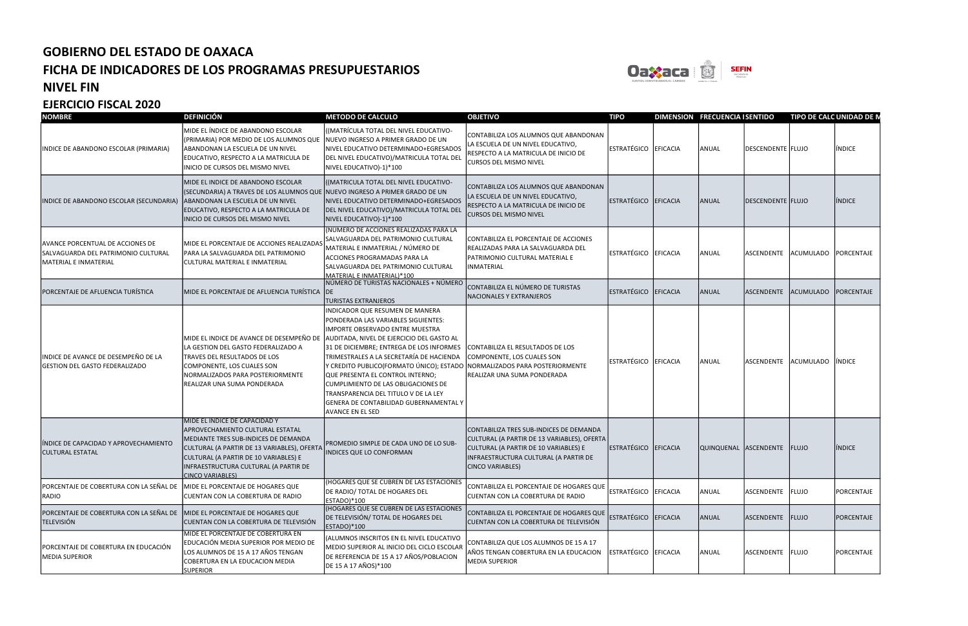

### NIVEL FIN

| <b>NOMBRE</b>                                                                                           | <b>DEFINICIÓN</b>                                                                                                                                                                                                                                                     | <b>METODO DE CALCULO</b>                                                                                                                                                                                                                                                                                                                                                                                                                                                                                                   | <b>OBJETIVO</b>                                                                                                                                                                              | <b>TIPO</b>          |          | DIMENSION FRECUENCIA I SENTIDO |                              | TIPO DE CALC UNIDAD DE N |               |
|---------------------------------------------------------------------------------------------------------|-----------------------------------------------------------------------------------------------------------------------------------------------------------------------------------------------------------------------------------------------------------------------|----------------------------------------------------------------------------------------------------------------------------------------------------------------------------------------------------------------------------------------------------------------------------------------------------------------------------------------------------------------------------------------------------------------------------------------------------------------------------------------------------------------------------|----------------------------------------------------------------------------------------------------------------------------------------------------------------------------------------------|----------------------|----------|--------------------------------|------------------------------|--------------------------|---------------|
| INDICE DE ABANDONO ESCOLAR (PRIMARIA)                                                                   | MIDE EL ÍNDICE DE ABANDONO ESCOLAR<br>(PRIMARIA) POR MEDIO DE LOS ALUMNOS QUE<br>ABANDONAN LA ESCUELA DE UN NIVEL<br>EDUCATIVO, RESPECTO A LA MATRICULA DE<br>INICIO DE CURSOS DEL MISMO NIVEL                                                                        | ((MATRÍCULA TOTAL DEL NIVEL EDUCATIVO-<br>NUEVO INGRESO A PRIMER GRADO DE UN<br>NIVEL EDUCATIVO DETERMINADO+EGRESADOS<br>DEL NIVEL EDUCATIVO)/MATRICULA TOTAL DEL<br>NIVEL EDUCATIVO)-1)*100                                                                                                                                                                                                                                                                                                                               | CONTABILIZA LOS ALUMNOS QUE ABANDONAN<br>LA ESCUELA DE UN NIVEL EDUCATIVO,<br>RESPECTO A LA MATRICULA DE INICIO DE<br><b>CURSOS DEL MISMO NIVEL</b>                                          | ESTRATÉGICO EFICACIA |          | ANUAL                          | DESCENDENTE FLUJO            |                          | INDICE        |
| INDICE DE ABANDONO ESCOLAR (SECUNDARIA)                                                                 | MIDE EL INDICE DE ABANDONO ESCOLAR<br>(SECUNDARIA) A TRAVES DE LOS ALUMNOS QUE NUEVO INGRESO A PRIMER GRADO DE UN<br>ABANDONAN LA ESCUELA DE UN NIVEL<br>EDUCATIVO, RESPECTO A LA MATRICULA DE<br>INICIO DE CURSOS DEL MISMO NIVEL                                    | ((MATRICULA TOTAL DEL NIVEL EDUCATIVO-<br>NIVEL EDUCATIVO DETERMINADO+EGRESADOS<br>DEL NIVEL EDUCATIVO)/MATRICULA TOTAL DEL<br>NIVEL EDUCATIVO)-1)*100                                                                                                                                                                                                                                                                                                                                                                     | CONTABILIZA LOS ALUMNOS QUE ABANDONAN<br>LA ESCUELA DE UN NIVEL EDUCATIVO,<br>RESPECTO A LA MATRICULA DE INICIO DE<br><b>CURSOS DEL MISMO NIVEL</b>                                          | ESTRATÉGICO EFICACIA |          | ANUAL                          | DESCENDENTE FLUJO            |                          | <b>INDICE</b> |
| <b>AVANCE PORCENTUAL DE ACCIONES DE</b><br>SALVAGUARDA DEL PATRIMONIO CULTURAL<br>MATERIAL E INMATERIAL | MIDE EL PORCENTAJE DE ACCIONES REALIZADAS<br>PARA LA SALVAGUARDA DEL PATRIMONIO<br> CULTURAL MATERIAL E INMATERIAL                                                                                                                                                    | (NÚMERO DE ACCIONES REALIZADAS PARA LA<br>SALVAGUARDA DEL PATRIMONIO CULTURAL<br>MATERIAL E INMATERIAL / NÚMERO DE<br>ACCIONES PROGRAMADAS PARA LA<br>SALVAGUARDA DEL PATRIMONIO CULTURAL<br>MATERIAL E INMATERIAL)*100                                                                                                                                                                                                                                                                                                    | CONTABILIZA EL PORCENTAJE DE ACCIONES<br>REALIZADAS PARA LA SALVAGUARDA DEL<br>PATRIMONIO CULTURAL MATERIAL E<br>INMATERIAL                                                                  | ESTRATÉGICO EFICACIA |          | ANUAL                          | ASCENDENTE                   | ACUMULADO PORCENTAJE     |               |
| PORCENTAJE DE AFLUENCIA TURÍSTICA                                                                       | MIDE EL PORCENTAJE DE AFLUENCIA TURÍSTICA IDE                                                                                                                                                                                                                         | NÚMERO DE TURISTAS NACIONALES + NÚMERO<br><b>TURISTAS EXTRANJEROS</b>                                                                                                                                                                                                                                                                                                                                                                                                                                                      | CONTABILIZA EL NÚMERO DE TURISTAS<br>NACIONALES Y EXTRANJEROS                                                                                                                                | <b>ESTRATÉGICO</b>   | EFICACIA | ANUAL                          | <b>ASCENDENTE</b>            | ACUMULADO PORCENTAJE     |               |
| INDICE DE AVANCE DE DESEMPEÑO DE LA<br><b>GESTION DEL GASTO FEDERALIZADO</b>                            | MIDE EL INDICE DE AVANCE DE DESEMPEÑO DE<br>LA GESTION DEL GASTO FEDERALIZADO A<br><b>TRAVES DEL RESULTADOS DE LOS</b><br>COMPONENTE, LOS CUALES SON<br>NORMALIZADOS PARA POSTERIORMENTE<br>REALIZAR UNA SUMA PONDERADA                                               | INDICADOR QUE RESUMEN DE MANERA<br>PONDERADA LAS VARIABLES SIGUIENTES:<br><b>IMPORTE OBSERVADO ENTRE MUESTRA</b><br>AUDITADA, NIVEL DE EJERCICIO DEL GASTO AL<br>31 DE DICIEMBRE; ENTREGA DE LOS INFORMES<br>TRIMESTRALES A LA SECRETARÍA DE HACIENDA<br>Y CREDITO PUBLICO(FORMATO ÚNICO); ESTADO NORMALIZADOS PARA POSTERIORMENTE<br>QUE PRESENTA EL CONTROL INTERNO;<br>CUMPLIMIENTO DE LAS OBLIGACIONES DE<br>TRANSPARENCIA DEL TITULO V DE LA LEY<br>GENERA DE CONTABILIDAD GUBERNAMENTAL Y<br><b>AVANCE EN EL SED</b> | CONTABILIZA EL RESULTADOS DE LOS<br>COMPONENTE, LOS CUALES SON<br>REALIZAR UNA SUMA PONDERADA                                                                                                | ESTRATÉGICO EFICACIA |          | ANUAL                          | ASCENDENTE ACUMULADO IÍNDICE |                          |               |
| ÍNDICE DE CAPACIDAD Y APROVECHAMIENTO<br><b>CULTURAL ESTATAL</b>                                        | MIDE EL ÍNDICE DE CAPACIDAD Y<br>APROVECHAMIENTO CULTURAL ESTATAL<br>MEDIANTE TRES SUB-INDICES DE DEMANDA<br>CULTURAL (A PARTIR DE 13 VARIABLES), OFERTA<br>CULTURAL (A PARTIR DE 10 VARIABLES) E<br>INFRAESTRUCTURA CULTURAL (A PARTIR DE<br><b>CINCO VARIABLES)</b> | PROMEDIO SIMPLE DE CADA UNO DE LO SUB-<br><b>INDICES QUE LO CONFORMAN</b>                                                                                                                                                                                                                                                                                                                                                                                                                                                  | CONTABILIZA TRES SUB-INDICES DE DEMANDA<br>CULTURAL (A PARTIR DE 13 VARIABLES), OFERTA<br>CULTURAL (A PARTIR DE 10 VARIABLES) E<br>INFRAESTRUCTURA CULTURAL (A PARTIR DE<br>CINCO VARIABLES) | ESTRATÉGICO          | EFICACIA | QUINQUENAL ASCENDENTE FLUJO    |                              |                          | <b>INDICE</b> |
| PORCENTAJE DE COBERTURA CON LA SEÑAL DE<br>RADIO                                                        | MIDE EL PORCENTAJE DE HOGARES QUE<br>CUENTAN CON LA COBERTURA DE RADIO                                                                                                                                                                                                | (HOGARES QUE SE CUBREN DE LAS ESTACIONES<br>DE RADIO/ TOTAL DE HOGARES DEL<br>ESTADO)*100                                                                                                                                                                                                                                                                                                                                                                                                                                  | CONTABILIZA EL PORCENTAJE DE HOGARES QUE<br>CUENTAN CON LA COBERTURA DE RADIO                                                                                                                | ESTRATÉGICO          | EFICACIA | ANUAL                          | ASCENDENTE FLUJO             |                          | PORCENTAJE    |
| PORCENTAJE DE COBERTURA CON LA SEÑAL DE<br><b>TELEVISIÓN</b>                                            | MIDE EL PORCENTAJE DE HOGARES QUE<br>CUENTAN CON LA COBERTURA DE TELEVISIÓN                                                                                                                                                                                           | (HOGARES QUE SE CUBREN DE LAS ESTACIONES<br>DE TELEVISIÓN/ TOTAL DE HOGARES DEL<br>ESTADO)*100                                                                                                                                                                                                                                                                                                                                                                                                                             | CONTABILIZA EL PORCENTAJE DE HOGARES QUE<br>CUENTAN CON LA COBERTURA DE TELEVISIÓN                                                                                                           | ESTRATÉGICO EFICACIA |          | ANUAL                          | ASCENDENTE FLUJO             |                          | PORCENTAJE    |
| PORCENTAJE DE COBERTURA EN EDUCACIÓN<br>MEDIA SUPERIOR                                                  | MIDE EL PORCENTAJE DE COBERTURA EN<br>EDUCACIÓN MEDIA SUPERIOR POR MEDIO DE<br>LOS ALUMNOS DE 15 A 17 AÑOS TENGAN<br>COBERTURA EN LA EDUCACION MEDIA<br><b>SUPERIOR</b>                                                                                               | (ALUMNOS INSCRITOS EN EL NIVEL EDUCATIVO<br>MEDIO SUPERIOR AL INICIO DEL CICLO ESCOLAR<br>DE REFERENCIA DE 15 A 17 AÑOS/POBLACION<br>DE 15 A 17 AÑOS)*100                                                                                                                                                                                                                                                                                                                                                                  | CONTABILIZA QUE LOS ALUMNOS DE 15 A 17<br>AÑOS TENGAN COBERTURA EN LA EDUCACION<br>MEDIA SUPERIOR                                                                                            | ESTRATÉGICO EFICACIA |          | ANUAL                          | ASCENDENTE FLUJO             |                          | PORCENTAJE    |

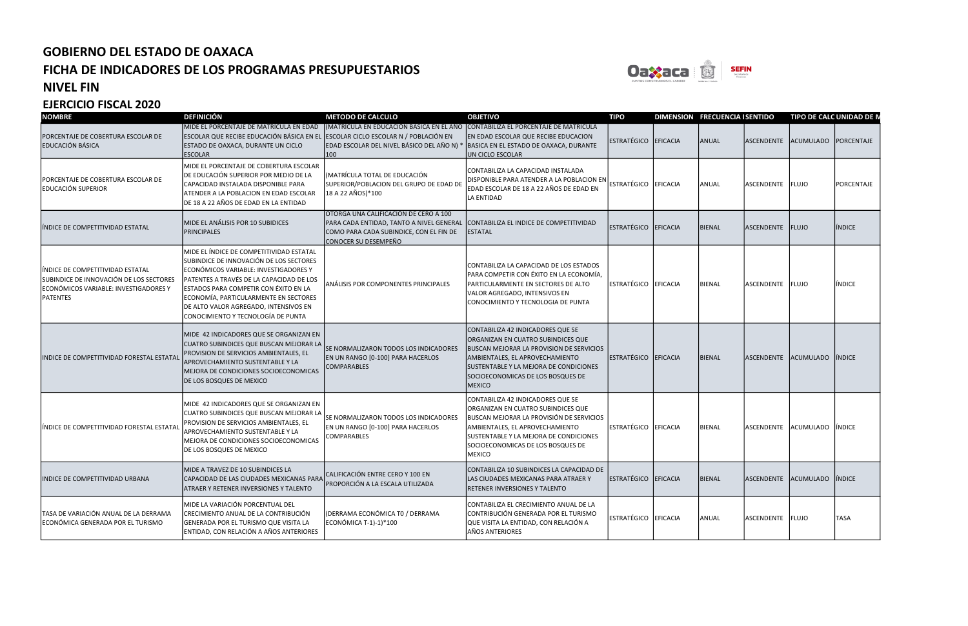

#### NIVEL FIN

| <b>NOMBRE</b>                                                                                                                    | <b>DEFINICIÓN</b>                                                                                                                                                                                                                                                                                                                         | <b>METODO DE CALCULO</b>                                                                                                                                                     | <b>OBJETIVO</b>                                                                                                                                                                                                                                               | <b>TIPO</b>          |          | DIMENSION FRECUENCIA I SENTIDO |                  | TIPO DE CALC UNIDAD DE N    |               |
|----------------------------------------------------------------------------------------------------------------------------------|-------------------------------------------------------------------------------------------------------------------------------------------------------------------------------------------------------------------------------------------------------------------------------------------------------------------------------------------|------------------------------------------------------------------------------------------------------------------------------------------------------------------------------|---------------------------------------------------------------------------------------------------------------------------------------------------------------------------------------------------------------------------------------------------------------|----------------------|----------|--------------------------------|------------------|-----------------------------|---------------|
| PORCENTAJE DE COBERTURA ESCOLAR DE<br><b>EDUCACIÓN BÁSICA</b>                                                                    | MIDE EL PORCENTAJE DE MATRÍCULA EN EDAD<br>ESCOLAR QUE RECIBE EDUCACIÓN BÁSICA EN EL ESCOLAR CICLO ESCOLAR N / POBLACIÓN EN<br>ESTADO DE OAXACA, DURANTE UN CICLO<br><b>ESCOLAR</b>                                                                                                                                                       | (MATRÍCULA EN EDUCACIÓN BASICA EN EL AÑO  CONTABILIZA EL PORCENTAJE DE MATRICULA<br>EDAD ESCOLAR DEL NIVEL BÁSICO DEL AÑO N) * BASICA EN EL ESTADO DE OAXACA, DURANTE<br>100 | EN EDAD ESCOLAR QUE RECIBE EDUCACION<br>UN CICLO ESCOLAR                                                                                                                                                                                                      | ESTRATÉGICO EFICACIA |          | ANUAL                          | ASCENDENTE       | ACUMULADO PORCENTAJE        |               |
| PORCENTAJE DE COBERTURA ESCOLAR DE<br><b>EDUCACIÓN SUPERIOR</b>                                                                  | MIDE EL PORCENTAJE DE COBERTURA ESCOLAR<br>DE EDUCACIÓN SUPERIOR POR MEDIO DE LA<br>CAPACIDAD INSTALADA DISPONIBLE PARA<br>ATENDER A LA POBLACION EN EDAD ESCOLAR<br>DE 18 A 22 AÑOS DE EDAD EN LA ENTIDAD                                                                                                                                | (MATRÍCULA TOTAL DE EDUCACIÓN<br>SUPERIOR/POBLACION DEL GRUPO DE EDAD DE<br>18 A 22 AÑOS) * 100                                                                              | CONTABILIZA LA CAPACIDAD INSTALADA<br>DISPONIBLE PARA ATENDER A LA POBLACION EN<br>EDAD ESCOLAR DE 18 A 22 AÑOS DE EDAD EN<br>LA ENTIDAD                                                                                                                      | <b>ESTRATÉGICO</b>   | EFICACIA | ANUAL                          | ASCENDENTE FLUJO |                             | PORCENTAJE    |
| líndice de competitividad estatal                                                                                                | MIDE EL ANÁLISIS POR 10 SUBIDICES<br>PRINCIPALES                                                                                                                                                                                                                                                                                          | OTORGA UNA CALIFICACIÓN DE CERO A 100<br>PARA CADA ENTIDAD, TANTO A NIVEL GENERAL<br>COMO PARA CADA SUBINDICE, CON EL FIN DE<br>CONOCER SU DESEMPEÑO                         | CONTABILIZA EL INDICE DE COMPETITIVIDAD<br>ESTATAL                                                                                                                                                                                                            | ESTRATÉGICO EFICACIA |          | <b>BIENAL</b>                  | ASCENDENTE FLUJO |                             | INDICE        |
| INDICE DE COMPETITIVIDAD ESTATAL<br>SUBINDICE DE INNOVACIÓN DE LOS SECTORES<br>ECONÓMICOS VARIABLE: INVESTIGADORES Y<br>PATENTES | MIDE EL ÍNDICE DE COMPETITIVIDAD ESTATAL<br>SUBINDICE DE INNOVACIÓN DE LOS SECTORES<br>ECONÓMICOS VARIABLE: INVESTIGADORES Y<br>PATENTES A TRAVÉS DE LA CAPACIDAD DE LOS<br>ESTADOS PARA COMPETIR CON ÉXITO EN LA<br>ECONOMÍA, PARTICULARMENTE EN SECTORES<br>DE ALTO VALOR AGREGADO, INTENSIVOS EN<br>CONOCIMIENTO Y TECNOLOGÍA DE PUNTA | <b>ANÁLISIS POR COMPONENTES PRINCIPALES</b>                                                                                                                                  | CONTABILIZA LA CAPACIDAD DE LOS ESTADOS<br>PARA COMPETIR CON ÉXITO EN LA ECONOMÍA,<br>PARTICULARMENTE EN SECTORES DE ALTO<br>VALOR AGREGADO, INTENSIVOS EN<br>CONOCIMIENTO Y TECNOLOGIA DE PUNTA                                                              | <b>ESTRATÉGICO</b>   | EFICACIA | <b>BIENAL</b>                  | ASCENDENTE FLUJO |                             | <b>INDICE</b> |
| INDICE DE COMPETITIVIDAD FORESTAL ESTATAL                                                                                        | MIDE 42 INDICADORES QUE SE ORGANIZAN EN<br>CUATRO SUBINDICES QUE BUSCAN MEJORAR LA<br>PROVISION DE SERVICIOS AMBIENTALES, EL<br>APROVECHAMIENTO SUSTENTABLE Y LA<br>MEJORA DE CONDICIONES SOCIOECONOMICAS<br><b>DE LOS BOSQUES DE MEXICO</b>                                                                                              | SE NORMALIZARON TODOS LOS INDICADORES<br>EN UN RANGO [0-100] PARA HACERLOS<br><b>COMPARABLES</b>                                                                             | CONTABILIZA 42 INDICADORES QUE SE<br>ORGANIZAN EN CUATRO SUBINDICES QUE<br><b>BUSCAN MEJORAR LA PROVISION DE SERVICIOS</b><br>AMBIENTALES, EL APROVECHAMIENTO<br>SUSTENTABLE Y LA MEJORA DE CONDICIONES<br>SOCIOECONOMICAS DE LOS BOSQUES DE<br><b>MEXICO</b> | ESTRATÉGICO          | EFICACIA | <b>BIENAL</b>                  | ASCENDENTE       | ACUMULADO INDICE            |               |
| INDICE DE COMPETITIVIDAD FORESTAL ESTATAL                                                                                        | MIDE 42 INDICADORES QUE SE ORGANIZAN EN<br>CUATRO SUBINDICES QUE BUSCAN MEJORAR LA<br>PROVISION DE SERVICIOS AMBIENTALES, EL<br>APROVECHAMIENTO SUSTENTABLE Y LA<br>MEJORA DE CONDICIONES SOCIOECONOMICAS<br>DE LOS BOSQUES DE MEXICO                                                                                                     | SE NORMALIZARON TODOS LOS INDICADORES<br>EN UN RANGO [0-100] PARA HACERLOS<br><b>COMPARABLES</b>                                                                             | CONTABILIZA 42 INDICADORES QUE SE<br>ORGANIZAN EN CUATRO SUBINDICES QUE<br>BUSCAN MEJORAR LA PROVISIÓN DE SERVICIOS<br>AMBIENTALES, EL APROVECHAMIENTO<br>SUSTENTABLE Y LA MEJORA DE CONDICIONES<br>SOCIOECONOMICAS DE LOS BOSQUES DE<br><b>MEXICO</b>        | ESTRATÉGICO EFICACIA |          | <b>BIENAL</b>                  | ASCENDENTE       | ACUMULADO INDICE            |               |
| <b>INDICE DE COMPETITIVIDAD URBANA</b>                                                                                           | MIDE A TRAVEZ DE 10 SUBINDICES LA<br>CAPACIDAD DE LAS CIUDADES MEXICANAS PARA<br>ATRAER Y RETENER INVERSIONES Y TALENTO                                                                                                                                                                                                                   | CALIFICACIÓN ENTRE CERO Y 100 EN<br>PROPORCIÓN A LA ESCALA UTILIZADA                                                                                                         | CONTABILIZA 10 SUBINDICES LA CAPACIDAD DE<br>LAS CIUDADES MEXICANAS PARA ATRAER Y<br>RETENER INVERSIONES Y TALENTO                                                                                                                                            | ESTRATÉGICO EFICACIA |          | <b>BIENAL</b>                  |                  | ASCENDENTE ACUMULADO INDICE |               |
| TASA DE VARIACIÓN ANUAL DE LA DERRAMA<br>ECONÓMICA GENERADA POR EL TURISMO                                                       | MIDE LA VARIACIÓN PORCENTUAL DEL<br>CRECIMIENTO ANUAL DE LA CONTRIBUCIÓN<br>GENERADA POR EL TURISMO QUE VISITA LA<br>ENTIDAD, CON RELACIÓN A AÑOS ANTERIORES                                                                                                                                                                              | (DERRAMA ECONÓMICA TO / DERRAMA<br>ECONÓMICA T-1)-1)*100                                                                                                                     | CONTABILIZA EL CRECIMIENTO ANUAL DE LA<br>CONTRIBUCIÓN GENERADA POR EL TURISMO<br>QUE VISITA LA ENTIDAD, CON RELACIÓN A<br>AÑOS ANTERIORES                                                                                                                    | ESTRATÉGICO EFICACIA |          | ANUAL                          | ASCENDENTE FLUJO |                             | <b>TASA</b>   |

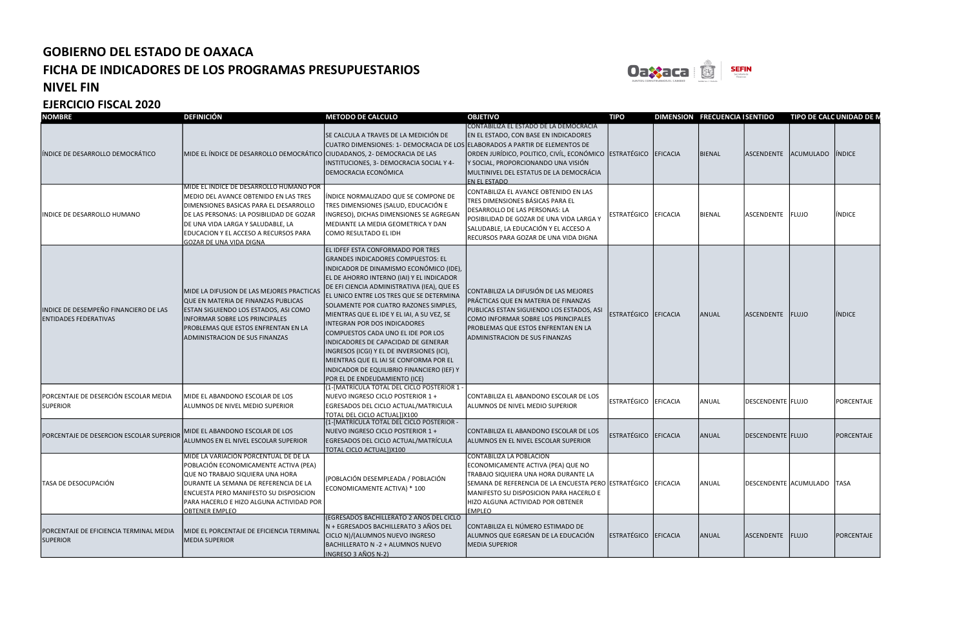

#### NIVEL FIN

| <b>NOMBRE</b>                                                         | <b>DEFINICIÓN</b>                                                                                                                                                                                                                                                          | <b>METODO DE CALCULO</b>                                                                                                                                                                                                                                                                                                                                                                                                                                                                                                                                                                                                              | <b>OBJETIVO</b>                                                                                                                                                                                                                                                                       | <b>TIPO</b>          |          | <b>DIMENSION FRECUENCIA I SENTIDO</b> |                   | TIPO DE CALC UNIDAD DE M     |               |
|-----------------------------------------------------------------------|----------------------------------------------------------------------------------------------------------------------------------------------------------------------------------------------------------------------------------------------------------------------------|---------------------------------------------------------------------------------------------------------------------------------------------------------------------------------------------------------------------------------------------------------------------------------------------------------------------------------------------------------------------------------------------------------------------------------------------------------------------------------------------------------------------------------------------------------------------------------------------------------------------------------------|---------------------------------------------------------------------------------------------------------------------------------------------------------------------------------------------------------------------------------------------------------------------------------------|----------------------|----------|---------------------------------------|-------------------|------------------------------|---------------|
| ÍNDICE DE DESARROLLO DEMOCRÁTICO                                      | MIDE EL ÍNDICE DE DESARROLLO DEMOCRÁTICO CIUDADANOS, 2- DEMOCRACIA DE LAS<br>MIDE EL INDICE DE DESARROLLO HUMANO POR<br>MEDIO DEL AVANCE OBTENIDO EN LAS TRES                                                                                                              | SE CALCULA A TRAVES DE LA MEDICIÓN DE<br>CUATRO DIMENSIONES: 1- DEMOCRACIA DE LOS ELLABORADOS A PARTIR DE ELEMENTOS DE<br>INSTITUCIONES, 3- DEMOCRACIA SOCIAL Y 4-<br>DEMOCRACIA ECONÓMICA<br>ÍNDICE NORMALIZADO QUE SE COMPONE DE                                                                                                                                                                                                                                                                                                                                                                                                    | CONTABILIZA EL ESTADO DE LA DEMOCRÁCIA<br>EN EL ESTADO, CON BASE EN INDICADORES<br>ORDEN JURÍDICO, POLITICO, CIVÍL, ECONÓMICO ESTRATÉGICO<br>Y SOCIAL, PROPORCIONANDO UNA VISIÓN<br> MULTINIVEL DEL ESTATUS DE LA DEMOCRÁCIA<br>EN EL ESTADO<br>CONTABILIZA EL AVANCE OBTENIDO EN LAS |                      | EFICACIA | <b>BIENAL</b>                         |                   | ASCENDENTE ACUMULADO IÍNDICE |               |
| INDICE DE DESARROLLO HUMANO                                           | DIMENSIONES BASICAS PARA EL DESARROLLO<br>DE LAS PERSONAS: LA POSIBILIDAD DE GOZAR<br>DE UNA VIDA LARGA Y SALUDABLE, LA<br>EDUCACION Y EL ACCESO A RECURSOS PARA<br><u>GOZAR DE UNA VIDA DIGNA</u>                                                                         | TRES DIMENSIONES (SALUD, EDUCACIÓN E<br>INGRESO), DICHAS DIMENSIONES SE AGREGAN<br>MEDIANTE LA MEDIA GEOMETRICA Y DAN<br>COMO RESULTADO EL IDH                                                                                                                                                                                                                                                                                                                                                                                                                                                                                        | TRES DIMENSIONES BÁSICAS PARA EL<br>DESARROLLO DE LAS PERSONAS: LA<br>POSIBILIDAD DE GOZAR DE UNA VIDA LARGA Y<br>SALUDABLE, LA EDUCACIÓN Y EL ACCESO A<br>RECURSOS PARA GOZAR DE UNA VIDA DIGNA                                                                                      | ESTRATÉGICO EFICACIA |          | <b>BIENAL</b>                         | ASCENDENTE FLUJO  |                              | <b>INDICE</b> |
| INDICE DE DESEMPEÑO FINANCIERO DE LAS<br><b>ENTIDADES FEDERATIVAS</b> | MIDE LA DIFUSION DE LAS MEJORES PRACTICAS<br>QUE EN MATERIA DE FINANZAS PUBLICAS<br>ESTAN SIGUIENDO LOS ESTADOS, ASI COMO<br><b>INFORMAR SOBRE LOS PRINCIPALES</b><br>PROBLEMAS QUE ESTOS ENFRENTAN EN LA<br>ADMINISTRACION DE SUS FINANZAS                                | EL IDFEF ESTA CONFORMADO POR TRES<br>GRANDES INDICADORES COMPUESTOS: EL<br>INDICADOR DE DINAMISMO ECONÓMICO (IDE),<br>EL DE AHORRO INTERNO (IAI) Y EL INDICADOR<br>DE EFI CIENCIA ADMINISTRATIVA (IEA), QUE ES<br>EL UNICO ENTRE LOS TRES QUE SE DETERMINA<br>SOLAMENTE POR CUATRO RAZONES SIMPLES,<br>MIENTRAS QUE EL IDE Y EL IAI, A SU VEZ, SE<br>INTEGRAN POR DOS INDICADORES<br>COMPUESTOS CADA UNO EL IDE POR LOS<br>INDICADORES DE CAPACIDAD DE GENERAR<br>INGRESOS (ICGI) Y EL DE INVERSIONES (ICI),<br>MIENTRAS QUE EL IAI SE CONFORMA POR EL<br>INDICADOR DE EQUILIBRIO FINANCIERO (IEF) Y<br>POR EL DE ENDEUDAMIENTO (ICE) | CONTABILIZA LA DIFUSIÓN DE LAS MEJORES<br>PRÁCTICAS QUE EN MATERIA DE FINANZAS<br>PUBLICAS ESTAN SIGUIENDO LOS ESTADOS, ASI<br>COMO INFORMAR SOBRE LOS PRINCIPALES<br>PROBLEMAS QUE ESTOS ENFRENTAN EN LA<br><b>ADMINISTRACION DE SUS FINANZAS</b>                                    | <b>ESTRATÉGICO</b>   | EFICACIA | ANUAL                                 | <b>ASCENDENTE</b> | <b>FLUJO</b>                 | <b>INDICE</b> |
| PORCENTAJE DE DESERCIÓN ESCOLAR MEDIA<br><b>SUPERIOR</b>              | MIDE EL ABANDONO ESCOLAR DE LOS<br>ALUMNOS DE NIVEL MEDIO SUPERIOR                                                                                                                                                                                                         | (1-[MATRÍCULA TOTAL DEL CICLO POSTERIOR 1 -<br>NUEVO INGRESO CICLO POSTERIOR 1 +<br>EGRESADOS DEL CICLO ACTUAL/MATRICULA<br>TOTAL DEL CICLO ACTUAL])X100                                                                                                                                                                                                                                                                                                                                                                                                                                                                              | CONTABILIZA EL ABANDONO ESCOLAR DE LOS<br>ALUMNOS DE NIVEL MEDIO SUPERIOR                                                                                                                                                                                                             | ESTRATÉGICO EFICACIA |          | ANUAL                                 | DESCENDENTE FLUJO |                              | PORCENTAJE    |
| PORCENTAJE DE DESERCION ESCOLAR SUPERIOR                              | MIDE EL ABANDONO ESCOLAR DE LOS<br>ALUMNOS EN EL NIVEL ESCOLAR SUPERIOR                                                                                                                                                                                                    | (1-[MATRÍCULA TOTAL DEL CICLO POSTERIOR -<br>NUEVO INGRESO CICLO POSTERIOR 1 +<br>EGRESADOS DEL CICLO ACTUAL/MATRÍCULA<br>TOTAL CICLO ACTUAL])X100                                                                                                                                                                                                                                                                                                                                                                                                                                                                                    | CONTABILIZA EL ABANDONO ESCOLAR DE LOS<br>ALUMNOS EN EL NIVEL ESCOLAR SUPERIOR                                                                                                                                                                                                        | ESTRATÉGICO EFICACIA |          | ANUAL                                 | DESCENDENTE FLUJO |                              | PORCENTAJE    |
| TASA DE DESOCUPACIÓN                                                  | MIDE LA VARIACIÓN PORCENTUAL DE DE LA<br>POBLACIÓN ECONOMICAMENTE ACTIVA (PEA)<br>QUE NO TRABAJO SIQUIERA UNA HORA<br>DURANTE LA SEMANA DE REFERENCIA DE LA<br>ENCUESTA PERO MANIFESTO SU DISPOSICION<br>PARA HACERLO E HIZO ALGUNA ACTIVIDAD POR<br><b>OBTENER EMPLEO</b> | (POBLACIÓN DESEMPLEADA / POBLACIÓN<br>ECONOMICAMENTE ACTIVA) * 100                                                                                                                                                                                                                                                                                                                                                                                                                                                                                                                                                                    | <b>CONTABILIZA LA POBLACION</b><br>ECONOMICAMENTE ACTIVA (PEA) QUE NO<br>TRABAJO SIQUIERA UNA HORA DURANTE LA<br>SEMANA DE REFERENCIA DE LA ENCUESTA PERO ESTRATÉGICO EFICACIA<br>MANIFESTO SU DISPOSICION PARA HACERLO E<br>HIZO ALGUNA ACTIVIDAD POR OBTENER<br>EMPLEO              |                      |          | ANUAL                                 |                   | DESCENDENTE ACUMULADO TASA   |               |
| PORCENTAJE DE EFICIENCIA TERMINAL MEDIA<br><b>SUPERIOR</b>            | MIDE EL PORCENTAJE DE EFICIENCIA TERMINAL<br><b>MEDIA SUPERIOR</b>                                                                                                                                                                                                         | (EGRESADOS BACHILLERATO 2 AÑOS DEL CICLO<br>N + EGRESADOS BACHILLERATO 3 AÑOS DEL<br>CICLO N)/(ALUMNOS NUEVO INGRESO<br>BACHILLERATO N - 2 + ALUMNOS NUEVO<br>INGRESO 3 AÑOS N-2)                                                                                                                                                                                                                                                                                                                                                                                                                                                     | CONTABILIZA EL NÚMERO ESTIMADO DE<br>ALUMNOS QUE EGRESAN DE LA EDUCACIÓN<br><b>MEDIA SUPERIOR</b>                                                                                                                                                                                     | ESTRATÉGICO EFICACIA |          | ANUAL                                 | ASCENDENTE FLUJO  |                              | PORCENTAJE    |

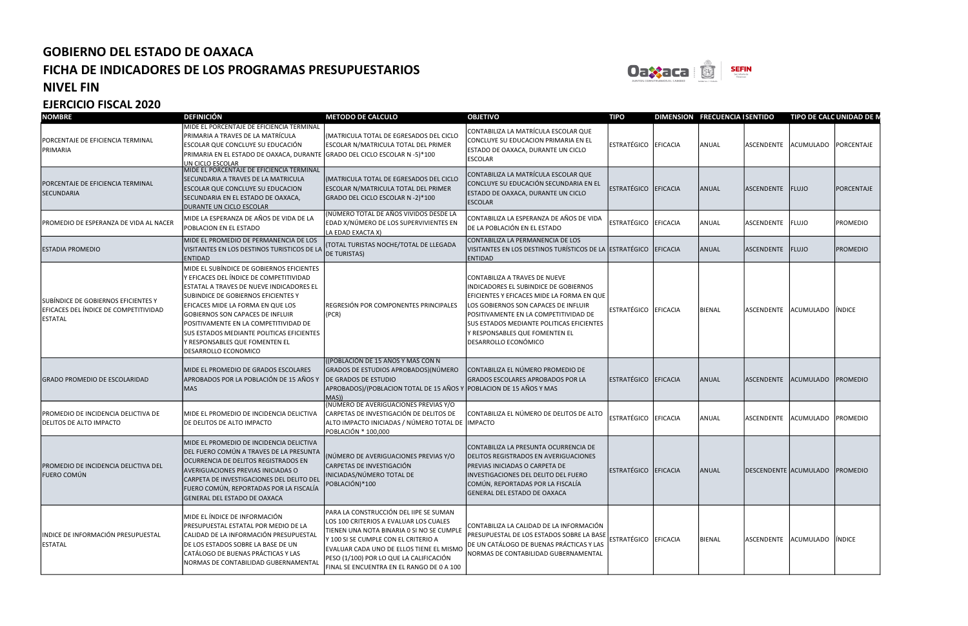

#### NIVEL FIN



| <b>NOMBRE</b>                                                                           | <b>DEFINICIÓN</b>                                                                                                                                                                                                                                                                                                                                                                                       | <b>METODO DE CALCULO</b>                                                                                                                                                                                                                                                                                  | <b>OBJETIVO</b>                                                                                                                                                                                                                                                                                                     | <b>TIPO</b>            | <b>DIMENSION FRE</b> |            |
|-----------------------------------------------------------------------------------------|---------------------------------------------------------------------------------------------------------------------------------------------------------------------------------------------------------------------------------------------------------------------------------------------------------------------------------------------------------------------------------------------------------|-----------------------------------------------------------------------------------------------------------------------------------------------------------------------------------------------------------------------------------------------------------------------------------------------------------|---------------------------------------------------------------------------------------------------------------------------------------------------------------------------------------------------------------------------------------------------------------------------------------------------------------------|------------------------|----------------------|------------|
| PORCENTAJE DE EFICIENCIA TERMINAL<br>PRIMARIA                                           | MIDE EL PORCENTAJE DE EFICIENCIA TERMINAL<br>PRIMARIA A TRAVES DE LA MATRÍCULA<br>ESCOLAR QUE CONCLUYE SU EDUCACIÓN<br>PRIMARIA EN EL ESTADO DE OAXACA, DURANTE GRADO DEL CICLO ESCOLAR N -5)*100<br>UN CICLO ESCOLAR                                                                                                                                                                                   | (MATRICULA TOTAL DE EGRESADOS DEL CICLO<br>ESCOLAR N/MATRICULA TOTAL DEL PRIMER                                                                                                                                                                                                                           | CONTABILIZA LA MATRÍCULA ESCOLAR QUE<br>CONCLUYE SU EDUCACION PRIMARIA EN EL<br>ESTADO DE OAXACA, DURANTE UN CICLO<br><b>ESCOLAR</b>                                                                                                                                                                                | <b>ESTRATÉGICO</b>     | EFICACIA             | ANU        |
| PORCENTAJE DE EFICIENCIA TERMINAL<br><b>SECUNDARIA</b>                                  | MIDE EL PORCENTAJE DE EFICIENCIA TERMINAL<br>SECUNDARIA A TRAVES DE LA MATRICULA<br>ESCOLAR QUE CONCLUYE SU EDUCACION<br>SECUNDARIA EN EL ESTADO DE OAXACA,<br>DURANTE UN CICLO ESCOLAR                                                                                                                                                                                                                 | (MATRICULA TOTAL DE EGRESADOS DEL CICLO<br>ESCOLAR N/MATRICULA TOTAL DEL PRIMER<br>GRADO DEL CICLO ESCOLAR N -2)*100                                                                                                                                                                                      | CONTABILIZA LA MATRÍCULA ESCOLAR QUE<br>CONCLUYE SU EDUCACIÓN SECUNDARIA EN EL<br>ESTADO DE OAXACA, DURANTE UN CICLO<br><b>ESCOLAR</b>                                                                                                                                                                              | <b>ESTRATÉGICO</b>     | EFICACIA             | <b>ANU</b> |
| PROMEDIO DE ESPERANZA DE VIDA AL NACER                                                  | lmide la ESPERANZA DE AÑOS DE VIDA DE LA<br>POBLACION EN EL ESTADO                                                                                                                                                                                                                                                                                                                                      | (NÚMERO TOTAL DE AÑOS VIVIDOS DESDE LA<br>EDAD X/NÚMERO DE LOS SUPERVIVIENTES EN<br>LA EDAD EXACTA X)                                                                                                                                                                                                     | CONTABILIZA LA ESPERANZA DE AÑOS DE VIDA<br>DE LA POBLACIÓN EN EL ESTADO                                                                                                                                                                                                                                            | ESTRATÉGICO            | EFICACIA             | ANU        |
| <b>ESTADIA PROMEDIO</b>                                                                 | MIDE EL PROMEDIO DE PERMANENCIA DE LOS<br>VISITANTES EN LOS DESTINOS TURISTICOS DE LA<br><b>ENTIDAD</b>                                                                                                                                                                                                                                                                                                 | (TOTAL TURISTAS NOCHE/TOTAL DE LLEGADA<br><b>DE TURISTAS)</b>                                                                                                                                                                                                                                             | CONTABILIZA LA PERMANENCIA DE LOS<br>VISITANTES EN LOS DESTINOS TURÍSTICOS DE LA ESTRATÉGICO<br><b>ENTIDAD</b>                                                                                                                                                                                                      |                        | EFICACIA             | ANU        |
| SUBÍNDICE DE GOBIERNOS EFICIENTES Y<br>EFICACES DEL ÍNDICE DE COMPETITIVIDAD<br>ESTATAL | MIDE EL SUBÍNDICE DE GOBIERNOS EFICIENTES<br>Y EFICACES DEL ÍNDICE DE COMPETITIVIDAD<br>ESTATAL A TRAVES DE NUEVE INDICADORES EL<br>SUBINDICE DE GOBIERNOS EFICIENTES Y<br>EFICACES MIDE LA FORMA EN QUE LOS<br><b>GOBIERNOS SON CAPACES DE INFLUIR</b><br>POSITIVAMENTE EN LA COMPETITIVIDAD DE<br>SUS ESTADOS MEDIANTE POLITICAS EFICIENTES<br>Y RESPONSABLES QUE FOMENTEN EL<br>DESARROLLO ECONOMICO | REGRESIÓN POR COMPONENTES PRINCIPALES<br>(PCR)                                                                                                                                                                                                                                                            | CONTABILIZA A TRAVES DE NUEVE<br>INDICADORES EL SUBINDICE DE GOBIERNOS<br>EFICIENTES Y EFICACES MIDE LA FORMA EN QUE<br>LOS GOBIERNOS SON CAPACES DE INFLUIR<br>POSITIVAMENTE EN LA COMPETITIVIDAD DE<br><b>SUS ESTADOS MEDIANTE POLITICAS EFICIENTES</b><br>Y RESPONSABLES QUE FOMENTEN EL<br>DESARROLLO ECONÓMICO | ESTRATÉGICO            | EFICACIA             | BIEN       |
| <b>GRADO PROMEDIO DE ESCOLARIDAD</b>                                                    | MIDE EL PROMEDIO DE GRADOS ESCOLARES<br>APROBADOS POR LA POBLACIÓN DE 15 AÑOS Y<br><b>MAS</b>                                                                                                                                                                                                                                                                                                           | ((POBLACIÓN DE 15 AÑOS Y MAS CON N<br>GRADOS DE ESTUDIOS APROBADOS) (NÚMERO<br>DE GRADOS DE ESTUDIO<br>APROBADOS)/(POBLACION TOTAL DE 15 AÑOS Y POBLACION DE 15 AÑOS Y MAS<br>MAS))                                                                                                                       | CONTABILIZA EL NÚMERO PROMEDIO DE<br><b>GRADOS ESCOLARES APROBADOS POR LA</b>                                                                                                                                                                                                                                       | <b>ESTRATÉGICO</b>     | EFICACIA             | <b>ANU</b> |
| PROMEDIO DE INCIDENCIA DELICTIVA DE<br>DELITOS DE ALTO IMPACTO                          | MIDE EL PROMEDIO DE INCIDENCIA DELICTIVA<br>DE DELITOS DE ALTO IMPACTO                                                                                                                                                                                                                                                                                                                                  | (NÚMERO DE AVERIGUACIONES PREVIAS Y/O<br>CARPETAS DE INVESTIGACIÓN DE DELITOS DE<br>ALTO IMPACTO INICIADAS / NÚMERO TOTAL DE IMPACTO<br>POBLACIÓN * 100,000                                                                                                                                               | CONTABILIZA EL NÚMERO DE DELITOS DE ALTO                                                                                                                                                                                                                                                                            | <b>ESTRATÉGICO</b>     | EFICACIA             | ANU        |
| PROMEDIO DE INCIDENCIA DELICTIVA DEL<br><b>FUERO COMÚN</b>                              | MIDE EL PROMEDIO DE INCIDENCIA DELICTIVA<br>DEL FUERO COMÚN A TRAVES DE LA PRESUNTA<br>OCURRENCIA DE DELITOS REGISTRADOS EN<br><b>AVERIGUACIONES PREVIAS INICIADAS O</b><br>CARPETA DE INVESTIGACIONES DEL DELITO DEL<br>FUERO COMÚN, REPORTADAS POR LA FISCALÍA<br><b>GENERAL DEL ESTADO DE OAXACA</b>                                                                                                 | (NÚMERO DE AVERIGUACIONES PREVIAS Y/O<br>CARPETAS DE INVESTIGACIÓN<br>INICIADAS/NÚMERO TOTAL DE<br>POBLACIÓN)*100                                                                                                                                                                                         | CONTABILIZA LA PRESUNTA OCURRENCIA DE<br><b>DELITOS REGISTRADOS EN AVERIGUACIONES</b><br>PREVIAS INICIADAS O CARPETA DE<br>INVESTIGACIONES DEL DELITO DEL FUERO<br>COMÚN, REPORTADAS POR LA FISCALÍA<br><b>GENERAL DEL ESTADO DE OAXACA</b>                                                                         | ESTRATEGICO   EFICACIA |                      | ANU        |
| INDICE DE INFORMACIÓN PRESUPUESTAL<br><b>ESTATAL</b>                                    | MIDE EL ÍNDICE DE INFORMACIÓN<br>PRESUPUESTAL ESTATAL POR MEDIO DE LA<br>CALIDAD DE LA INFORMACIÓN PRESUPUESTAL<br>DE LOS ESTADOS SOBRE LA BASE DE UN<br>CATÁLOGO DE BUENAS PRÁCTICAS Y LAS<br>NORMAS DE CONTABILIDAD GUBERNAMENTAL                                                                                                                                                                     | PARA LA CONSTRUCCIÓN DEL IIPE SE SUMAN<br>LOS 100 CRITERIOS A EVALUAR LOS CUALES<br>TIENEN UNA NOTA BINARIA 0 SI NO SE CUMPLE<br>Y 100 SI SE CUMPLE CON EL CRITERIO A<br>EVALUAR CADA UNO DE ELLOS TIENE EL MISMO<br>PESO (1/100) POR LO QUE LA CALIFICACIÓN<br>FINAL SE ENCUENTRA EN EL RANGO DE 0 A 100 | CONTABILIZA LA CALIDAD DE LA INFORMACIÓN<br>PRESUPUESTAL DE LOS ESTADOS SOBRE LA BASE<br>DE UN CATÁLOGO DE BUENAS PRÁCTICAS Y LAS<br>NORMAS DE CONTABILIDAD GUBERNAMENTAL                                                                                                                                           | ESTRATÉGICO EFICACIA   |                      | BIEN       |

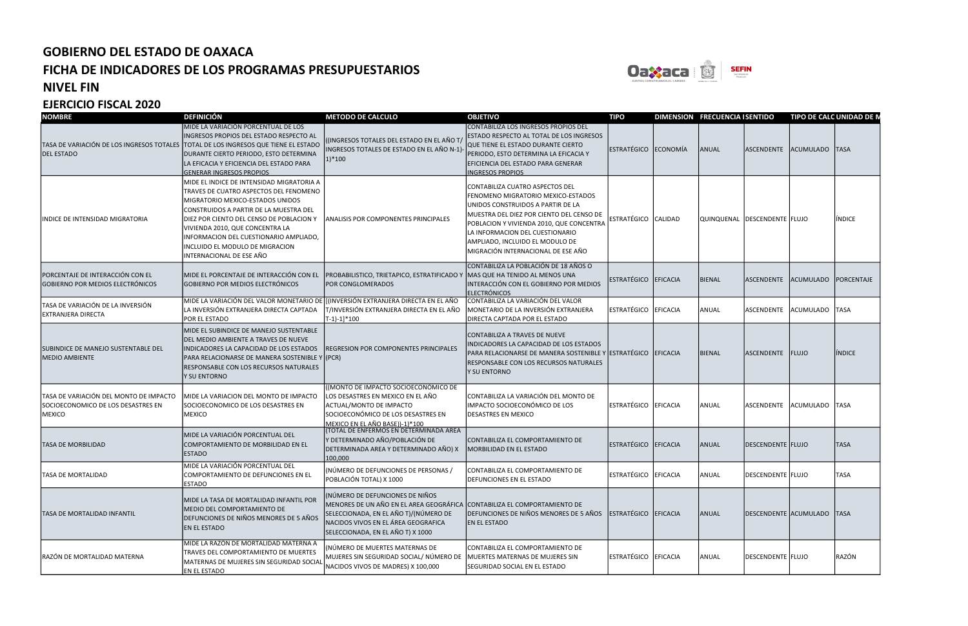

#### NIVEL FIN

| <b>NOMBRE</b>                                                                          | <b>DEFINICIÓN</b>                                                                                                                                                                                                                                                                                                                                                                     | <b>METODO DE CALCULO</b>                                                                                                                                                                                                         | <b>OBJETIVO</b>                                                                                                                                                                                                                                                                                           | <b>TIPO</b>          |                | DIMENSION FRECUENCIA I SENTIDO |                              | TIPO DE CALC UNIDAD DE N   |               |
|----------------------------------------------------------------------------------------|---------------------------------------------------------------------------------------------------------------------------------------------------------------------------------------------------------------------------------------------------------------------------------------------------------------------------------------------------------------------------------------|----------------------------------------------------------------------------------------------------------------------------------------------------------------------------------------------------------------------------------|-----------------------------------------------------------------------------------------------------------------------------------------------------------------------------------------------------------------------------------------------------------------------------------------------------------|----------------------|----------------|--------------------------------|------------------------------|----------------------------|---------------|
| <b>DEL ESTADO</b>                                                                      | MIDE LA VARIACIÓN PORCENTUAL DE LOS<br>INGRESOS PROPIOS DEL ESTADO RESPECTO AL<br>TASA DE VARIACIÓN DE LOS INGRESOS TOTALES TOTAL DE LOS INGRESOS QUE TIENE EL ESTADO<br>DURANTE CIERTO PERIODO, ESTO DETERMINA<br>LA EFICACIA Y EFICIENCIA DEL ESTADO PARA<br><b>GENERAR INGRESOS PROPIOS</b><br>MIDE EL INDICE DE INTENSIDAD MIGRATORIA A<br>TRAVES DE CUATRO ASPECTOS DEL FENOMENO | ((INGRESOS TOTALES DEL ESTADO EN EL AÑO T/<br>INGRESOS TOTALES DE ESTADO EN EL AÑO N-1)-<br>$1)*100$                                                                                                                             | CONTABILIZA LOS INGRESOS PROPIOS DEL<br>ESTADO RESPECTO AL TOTAL DE LOS INGRESOS<br>QUE TIENE EL ESTADO DURANTE CIERTO<br>PERIODO, ESTO DETERMINA LA EFICACIA Y<br>EFICIENCIA DEL ESTADO PARA GENERAR<br><b>INGRESOS PROPIOS</b><br>CONTABILIZA CUATRO ASPECTOS DEL<br>FENOMENO MIGRATORIO MEXICO-ESTADOS | ESTRATÉGICO ECONOMÍA |                | ANUAL                          | ASCENDENTE                   | ACUMULADO TASA             |               |
| INDICE DE INTENSIDAD MIGRATORIA                                                        | MIGRATORIO MEXICO-ESTADOS UNIDOS<br>CONSTRUIDOS A PARTIR DE LA MUESTRA DEL<br>DIEZ POR CIENTO DEL CENSO DE POBLACION Y<br>VIVIENDA 2010, QUE CONCENTRA LA<br>INFORMACION DEL CUESTIONARIO AMPLIADO,<br>INCLUIDO EL MODULO DE MIGRACION<br>INTERNACIONAL DE ESE AÑO                                                                                                                    | <b>ANALISIS POR COMPONENTES PRINCIPALES</b>                                                                                                                                                                                      | UNIDOS CONSTRUIDOS A PARTIR DE LA<br>MUESTRA DEL DIEZ POR CIENTO DEL CENSO DE<br>POBLACION Y VIVIENDA 2010, QUE CONCENTRA<br>LA INFORMACION DEL CUESTIONARIO<br>AMPLIADO, INCLUIDO EL MODULO DE<br>MIGRACIÓN INTERNACIONAL DE ESE AÑO                                                                     | ESTRATÉGICO          | <b>CALIDAD</b> |                                | QUINQUENAL DESCENDENTE FLUJO |                            | <b>INDICE</b> |
| PORCENTAJE DE INTERACCIÓN CON EL<br>GOBIERNO POR MEDIOS ELECTRÓNICOS                   | MIDE EL PORCENTAJE DE INTERACCIÓN CON EL<br>GOBIERNO POR MEDIOS ELECTRÓNICOS                                                                                                                                                                                                                                                                                                          | PROBABILISTICO, TRIETAPICO, ESTRATIFICADO Y MAS QUE HA TENIDO AL MENOS UNA<br>POR CONGLOMERADOS                                                                                                                                  | CONTABILIZA LA POBLACIÓN DE 18 AÑOS O<br>INTERACCIÓN CON EL GOBIERNO POR MEDIOS<br><b>ELECTRÓNICOS</b>                                                                                                                                                                                                    | ESTRATÉGICO EFICACIA |                | <b>BIENAL</b>                  | ASCENDENTE                   | ACUMULADO PORCENTAJE       |               |
| TASA DE VARIACIÓN DE LA INVERSIÓN<br>EXTRANJERA DIRECTA                                | MIDE LA VARIACIÓN DEL VALOR MONETARIO DE [[(INVERSIÓN EXTRANJERA DIRECTA EN EL AÑO<br>LA INVERSIÓN EXTRANJERA DIRECTA CAPTADA<br><b>POR EL ESTADO</b>                                                                                                                                                                                                                                 | T/INVERSIÓN EXTRANJERA DIRECTA EN EL AÑO<br>$[T-1]-1]*100$                                                                                                                                                                       | CONTABILIZA LA VARIACIÓN DEL VALOR<br>MONETARIO DE LA INVERSIÓN EXTRANJERA<br>DIRECTA CAPTADA POR EL ESTADO                                                                                                                                                                                               | <b>ESTRATÉGICO</b>   | EFICACIA       | ANUAL                          | ASCENDENTE                   | ACUMULADO TASA             |               |
| SUBINDICE DE MANEJO SUSTENTABLE DEL<br>MEDIO AMBIENTE                                  | MIDE EL SUBINDICE DE MANEJO SUSTENTABLE<br>DEL MEDIO AMBIENTE A TRAVES DE NUEVE<br>INDICADORES LA CAPACIDAD DE LOS ESTADOS<br>PARA RELACIONARSE DE MANERA SOSTENIBLE Y (PCR)<br>RESPONSABLE CON LOS RECURSOS NATURALES<br>Y SU ENTORNO                                                                                                                                                | <b>REGRESION POR COMPONENTES PRINCIPALES</b>                                                                                                                                                                                     | CONTABILIZA A TRAVES DE NUEVE<br>INDICADORES LA CAPACIDAD DE LOS ESTADOS<br>PARA RELACIONARSE DE MANERA SOSTENIBLE Y ESTRATÉGICO<br>RESPONSABLE CON LOS RECURSOS NATURALES<br>Y SU ENTORNO                                                                                                                |                      | EFICACIA       | BIENAL                         | ASCENDENTE                   | FLUJO                      | <b>INDICE</b> |
| TASA DE VARIACIÓN DEL MONTO DE IMPACTO<br>SOCIOECONOMICO DE LOS DESASTRES EN<br>MEXICO | MIDE LA VARIACION DEL MONTO DE IMPACTO<br>SOCIOECONOMICO DE LOS DESASTRES EN<br><b>MEXICO</b>                                                                                                                                                                                                                                                                                         | ((MONTO DE IMPACTO SOCIOECONÓMICO DE<br>LOS DESASTRES EN MEXICO EN EL AÑO<br>ACTUAL/MONTO DE IMPACTO<br>SOCIOECONÓMICO DE LOS DESASTRES EN<br>MEXICO EN EL AÑO BASE))-1)*100                                                     | CONTABILIZA LA VARIACIÓN DEL MONTO DE<br>IMPACTO SOCIOECONÓMICO DE LOS<br><b>DESASTRES EN MEXICO</b>                                                                                                                                                                                                      | ESTRATÉGICO EFICACIA |                | ANUAL                          | ASCENDENTE                   | ACUMULADO TASA             |               |
| <b>TASA DE MORBILIDAD</b>                                                              | MIDE LA VARIACIÓN PORCENTUAL DEL<br>COMPORTAMIENTO DE MORBILIDAD EN EL<br><b>ESTADO</b>                                                                                                                                                                                                                                                                                               | <b>(TOTAL DE ENFERMOS EN DETERMINADA AREA</b><br>Y DETERMINADO AÑO/POBLACIÓN DE<br>DETERMINADA AREA Y DETERMINADO AÑO) X<br>100,000                                                                                              | CONTABILIZA EL COMPORTAMIENTO DE<br>MORBILIDAD EN EL ESTADO                                                                                                                                                                                                                                               | <b>ESTRATÉGICO</b>   | EFICACIA       | ANUAL                          | DESCENDENTE FLUJO            |                            | <b>TASA</b>   |
| <b>TASA DE MORTALIDAD</b>                                                              | MIDE LA VARIACIÓN PORCENTUAL DEL<br>COMPORTAMIENTO DE DEFUNCIONES EN EL<br><b>ESTADO</b>                                                                                                                                                                                                                                                                                              | (NÚMERO DE DEFUNCIONES DE PERSONAS /<br>POBLACIÓN TOTAL) X 1000                                                                                                                                                                  | CONTABILIZA EL COMPORTAMIENTO DE<br>DEFUNCIONES EN EL ESTADO                                                                                                                                                                                                                                              | ESTRATÉGICO EFICACIA |                | ANUAL                          | DESCENDENTE FLUJO            |                            | <b>TASA</b>   |
| TASA DE MORTALIDAD INFANTIL                                                            | MIDE LA TASA DE MORTALIDAD INFANTIL POR<br>MEDIO DEL COMPORTAMIENTO DE<br>DEFUNCIONES DE NIÑOS MENORES DE 5 AÑOS<br><b>EN EL ESTADO</b>                                                                                                                                                                                                                                               | (NÚMERO DE DEFUNCIONES DE NIÑOS<br>MENORES DE UN AÑO EN EL AREA GEOGRÁFICA CONTABILIZA EL COMPORTAMIENTO DE<br>SELECCIONADA, EN EL AÑO T)/(NÚMERO DE<br>NACIDOS VIVOS EN EL ÁREA GEOGRAFICA<br>SELECCIONADA, EN EL AÑO T) X 1000 | DEFUNCIONES DE NIÑOS MENORES DE 5 AÑOS<br><b>EN EL ESTADO</b>                                                                                                                                                                                                                                             | ESTRATÉGICO EFICACIA |                | ANUAL                          |                              | DESCENDENTE ACUMULADO TASA |               |
| RAZÓN DE MORTALIDAD MATERNA                                                            | MIDE LA RAZÓN DE MORTALIDAD MATERNA A<br>TRAVES DEL COMPORTAMIENTO DE MUERTES<br>MATERNAS DE MUJERES SIN SEGURIDAD SOCIAL<br><b>EN EL ESTADO</b>                                                                                                                                                                                                                                      | (NÚMERO DE MUERTES MATERNAS DE<br>MUJERES SIN SEGURIDAD SOCIAL/ NÚMERO DE MUERTES MATERNAS DE MUJERES SIN<br>NACIDOS VIVOS DE MADRES) X 100,000                                                                                  | CONTABILIZA EL COMPORTAMIENTO DE<br>SEGURIDAD SOCIAL EN EL ESTADO                                                                                                                                                                                                                                         | ESTRATÉGICO EFICACIA |                | ANUAL                          | DESCENDENTE FLUJO            |                            | RAZÓN         |

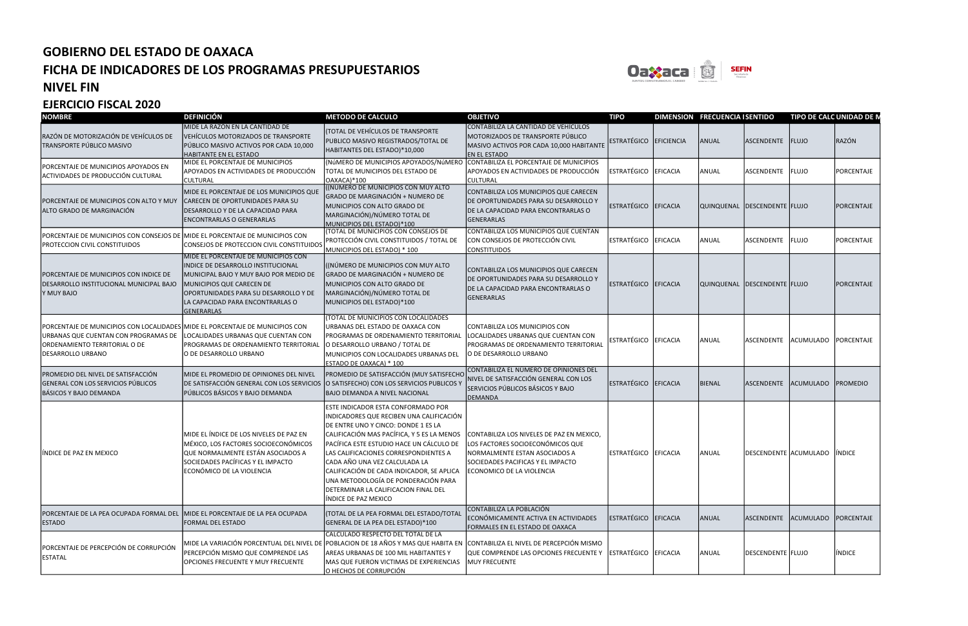

#### NIVEL FIN

| <b>NOMBRE</b>                                                                                                                                                               | <b>DEFINICIÓN</b>                                                                                                                                                                                                                                                        | <b>METODO DE CALCULO</b>                                                                                                                                                                                                                                                                                                                                                                                                                      | <b>OBJETIVO</b>                                                                                                                                                                  | <b>TIPO</b>          |                 | DIMENSION FRECUENCIA I SENTIDO |                       | TIPO DE CALC UNIDAD DE N |               |
|-----------------------------------------------------------------------------------------------------------------------------------------------------------------------------|--------------------------------------------------------------------------------------------------------------------------------------------------------------------------------------------------------------------------------------------------------------------------|-----------------------------------------------------------------------------------------------------------------------------------------------------------------------------------------------------------------------------------------------------------------------------------------------------------------------------------------------------------------------------------------------------------------------------------------------|----------------------------------------------------------------------------------------------------------------------------------------------------------------------------------|----------------------|-----------------|--------------------------------|-----------------------|--------------------------|---------------|
| RAZÓN DE MOTORIZACIÓN DE VEHÍCULOS DE<br>TRANSPORTE PÚBLICO MASIVO                                                                                                          | MIDE LA RAZÓN EN LA CANTIDAD DE<br>VEHÍCULOS MOTORIZADOS DE TRANSPORTE<br>PÚBLICO MASIVO ACTIVOS POR CADA 10,000<br>HABITANTE EN EL ESTADO                                                                                                                               | (TOTAL DE VEHÍCULOS DE TRANSPORTE<br>PUBLICO MASIVO REGISTRADOS/TOTAL DE<br>HABITANTES DEL ESTADO)*10,000                                                                                                                                                                                                                                                                                                                                     | CONTABILIZA LA CANTIDAD DE VEHÍCULOS<br>MOTORIZADOS DE TRANSPORTE PÚBLICO<br>MASIVO ACTIVOS POR CADA 10,000 HABITANTE<br><b>EN EL ESTADO</b>                                     | ESTRATÉGICO          | EFICIENCIA      | ANUAL                          | ASCENDENTE FLUJO      |                          | RAZÓN         |
| PORCENTAJE DE MUNICIPIOS APOYADOS EN<br>ACTIVIDADES DE PRODUCCIÓN CULTURAL                                                                                                  | MIDE EL PORCENTAJE DE MUNICIPIOS<br>APOYADOS EN ACTIVIDADES DE PRODUCCIÓN<br><b>CULTURAL</b>                                                                                                                                                                             | (NÚMERO DE MUNICIPIOS APOYADOS/NÚMERO CONTABILIZA EL PORCENTAJE DE MUNICIPIOS<br>TOTAL DE MUNICIPIOS DEL ESTADO DE<br>OAXACA)*100                                                                                                                                                                                                                                                                                                             | APOYADOS EN ACTIVIDADES DE PRODUCCIÓN<br><b>CULTURAL</b>                                                                                                                         | <b>ESTRATÉGICO</b>   | <b>EFICACIA</b> | ANUAL                          | <b>ASCENDENTE</b>     | <b>FLUJO</b>             | PORCENTAJE    |
| PORCENTAJE DE MUNICIPIOS CON ALTO Y MUY<br>ALTO GRADO DE MARGINACIÓN                                                                                                        | MIDE EL PORCENTAJE DE LOS MUNICIPIOS QUE<br>CARECEN DE OPORTUNIDADES PARA SU<br>DESARROLLO Y DE LA CAPACIDAD PARA<br><b>ENCONTRARLAS O GENERARLAS</b>                                                                                                                    | (INÚMERO DE MUNICIPIOS CON MUY ALTO<br>GRADO DE MARGINACIÓN + NUMERO DE<br>MUNICIPIOS CON ALTO GRADO DE<br>MARGINACIÓN)/NÚMERO TOTAL DE<br>MUNICIPIOS DEL ESTADO)*100                                                                                                                                                                                                                                                                         | CONTABILIZA LOS MUNICIPIOS QUE CARECEN<br>DE OPORTUNIDADES PARA SU DESARROLLO Y<br>DE LA CAPACIDAD PARA ENCONTRARLAS O<br>GENERARLAS                                             | ESTRATÉGICO EFICACIA |                 | QUINQUENAL DESCENDENTE FLUJO   |                       |                          | PORCENTAJE    |
| PORCENTAJE DE MUNICIPIOS CON CONSEJOS DE MIDE EL PORCENTAJE DE MUNICIPIOS CON<br>PROTECCION CIVIL CONSTITUIDOS                                                              | CONSEJOS DE PROTECCION CIVIL CONSTITUIDOS                                                                                                                                                                                                                                | (TOTAL DE MUNICIPIOS CON CONSEJOS DE<br>PROTECCIÓN CIVIL CONSTITUIDOS / TOTAL DE<br>MUNICIPIOS DEL ESTADO) * 100                                                                                                                                                                                                                                                                                                                              | CONTABILIZA LOS MUNICIPIOS QUE CUENTAN<br>CON CONSEJOS DE PROTECCIÓN CIVIL<br><b>CONSTITUIDOS</b>                                                                                | ESTRATÉGICO          | <b>EFICACIA</b> | ANUAL                          | ASCENDENTE            | FLUJO                    | PORCENTAJE    |
| PORCENTAJE DE MUNICIPIOS CON INDICE DE<br>DESARROLLO INSTITUCIONAL MUNICIPAL BAJO<br>Y MUY BAJO                                                                             | <b>MIDE EL PORCENTAJE DE MUNICIPIOS CON</b><br>INDICE DE DESARROLLO INSTITUCIONAL<br>MUNICIPAL BAJO Y MUY BAJO POR MEDIO DE<br><b>MUNICIPIOS QUE CARECEN DE</b><br><b>OPORTUNIDADES PARA SU DESARROLLO Y DE</b><br>LA CAPACIDAD PARA ENCONTRARLAS O<br><b>GENERARLAS</b> | ((NÚMERO DE MUNICIPIOS CON MUY ALTO<br>GRADO DE MARGINACIÓN + NUMERO DE<br>MUNICIPIOS CON ALTO GRADO DE<br>MARGINACIÓN)/NÚMERO TOTAL DE<br>MUNICIPIOS DEL ESTADO)*100                                                                                                                                                                                                                                                                         | CONTABILIZA LOS MUNICIPIOS QUE CARECEN<br>DE OPORTUNIDADES PARA SU DESARROLLO Y<br>DE LA CAPACIDAD PARA ENCONTRARLAS O<br>GENERARLAS                                             | ESTRATÉGICO          | EFICACIA        | QUINQUENAL DESCENDENTE FLUJO   |                       |                          | PORCENTAJE    |
| PORCENTAJE DE MUNICIPIOS CON LOCALIDADES MIDE EL PORCENTAJE DE MUNICIPIOS CON<br>URBANAS QUE CUENTAN CON PROGRAMAS DE<br>ORDENAMIENTO TERRITORIAL O DE<br>DESARROLLO URBANO | LOCALIDADES URBANAS QUE CUENTAN CON<br>PROGRAMAS DE ORDENAMIENTO TERRITORIAL<br>O DE DESARROLLO URBANO                                                                                                                                                                   | (TOTAL DE MUNICIPIOS CON LOCALIDADES<br>URBANAS DEL ESTADO DE OAXACA CON<br>PROGRAMAS DE ORDENAMIENTO TERRITORIAL<br>O DESARROLLO URBANO / TOTAL DE<br>MUNICIPIOS CON LOCALIDADES URBANAS DEL<br>ESTADO DE OAXACA) * 100                                                                                                                                                                                                                      | CONTABILIZA LOS MUNICIPIOS CON<br>LOCALIDADES URBANAS QUE CUENTAN CON<br>PROGRAMAS DE ORDENAMIENTO TERRITORIAL<br>O DE DESARROLLO URBANO                                         | ESTRATÉGICO          | EFICACIA        | ANUAL                          | ASCENDENTE            | ACUMULADO PORCENTAJE     |               |
| PROMEDIO DEL NIVEL DE SATISFACCIÓN<br>GENERAL CON LOS SERVICIOS PÚBLICOS<br><b>BÁSICOS Y BAJO DEMANDA</b>                                                                   | MIDE EL PROMEDIO DE OPINIONES DEL NIVEL<br>DE SATISFACCIÓN GENERAL CON LOS SERVICIOS<br>PÚBLICOS BÁSICOS Y BAJO DEMANDA                                                                                                                                                  | PROMEDIO DE SATISFACCIÓN (MUY SATISFECHO<br>O SATISFECHO) CON LOS SERVICIOS PUBLICOS<br><b>BAJO DEMANDA A NIVEL NACIONAL</b>                                                                                                                                                                                                                                                                                                                  | CONTABILIZA EL NÚMERO DE OPINIONES DEL<br>NIVEL DE SATISFACCIÓN GENERAL CON LOS<br>SERVICIOS PÚBLICOS BÁSICOS Y BAJO<br><b>DEMANDA</b>                                           | <b>ESTRATÉGICO</b>   | EFICACIA        | BIENAL                         | <b>ASCENDENTE</b>     | ACUMULADO PROMEDIO       |               |
| lindice de paz en mexico                                                                                                                                                    | MIDE EL ÍNDICE DE LOS NIVELES DE PAZ EN<br>MÉXICO, LOS FACTORES SOCIOECONÓMICOS<br>QUE NORMALMENTE ESTÁN ASOCIADOS A<br>SOCIEDADES PACÍFICAS Y EL IMPACTO<br>ECONÓMICO DE LA VIOLENCIA                                                                                   | ESTE INDICADOR ESTA CONFORMADO POR<br>INDICADORES QUE RECIBEN UNA CALIFICACIÓN<br>DE ENTRE UNO Y CINCO: DONDE 1 ES LA<br>CALIFICACIÓN MAS PACÍFICA, Y 5 ES LA MENOS<br>PACÍFICA ESTE ESTUDIO HACE UN CÁLCULO DE<br>LAS CALIFICACIONES CORRESPONDIENTES A<br>CADA AÑO UNA VEZ CALCULADA LA<br>CALIFICACIÓN DE CADA INDICADOR, SE APLICA<br>UNA METODOLOGÍA DE PONDERACIÓN PARA<br>DETERMINAR LA CALIFICACION FINAL DEL<br>ÍNDICE DE PAZ MEXICO | CONTABILIZA LOS NIVELES DE PAZ EN MEXICO.<br>LOS FACTORES SOCIOECONÓMICOS QUE<br>NORMALMENTE ESTAN ASOCIADOS A<br>SOCIEDADES PACIFICAS Y EL IMPACTO<br>ECONOMICO DE LA VIOLENCIA | ESTRATÉGICO          | <b>EFICACIA</b> | ANUAL                          | DESCENDENTE ACUMULADO |                          | <b>INDICE</b> |
| PORCENTAJE DE LA PEA OCUPADA FORMAL DEL MIDE EL PORCENTAJE DE LA PEA OCUPADA<br><b>ESTADO</b>                                                                               | <b>FORMAL DEL ESTADO</b>                                                                                                                                                                                                                                                 | (TOTAL DE LA PEA FORMAL DEL ESTADO/TOTAL<br>GENERAL DE LA PEA DEL ESTADO)*100                                                                                                                                                                                                                                                                                                                                                                 | CONTABILIZA LA POBLACIÓN<br>ECONÓMICAMENTE ACTIVA EN ACTIVIDADES<br>FORMALES EN EL ESTADO DE OAXACA                                                                              | ESTRATÉGICO EFICACIA |                 | ANUAL                          | ASCENDENTE            | ACUMULADO PORCENTAJE     |               |
| PORCENTAJE DE PERCEPCIÓN DE CORRUPCIÓN<br>ESTATAL                                                                                                                           | MIDE LA VARIACIÓN PORCENTUAL DEL NIVEL DE<br>PERCEPCIÓN MISMO QUE COMPRENDE LAS<br>OPCIONES FRECUENTE Y MUY FRECUENTE                                                                                                                                                    | CALCULADO RESPECTO DEL TOTAL DE LA<br>E POBLACION DE 18 AÑOS Y MAS QUE HABITA EN COONTABILIZA EL NIVEL DE PERCEPCIÓN MISMO<br>AREAS URBANAS DE 100 MIL HABITANTES Y<br>MAS QUE FUERON VICTIMAS DE EXPERIENCIAS   MUY FRECUENTE<br>O HECHOS DE CORRUPCIÓN                                                                                                                                                                                      | QUE COMPRENDE LAS OPCIONES FRECUENTE Y                                                                                                                                           | ESTRATÉGICO EFICACIA |                 | ANUAL                          | DESCENDENTE FLUJO     |                          | INDICE        |

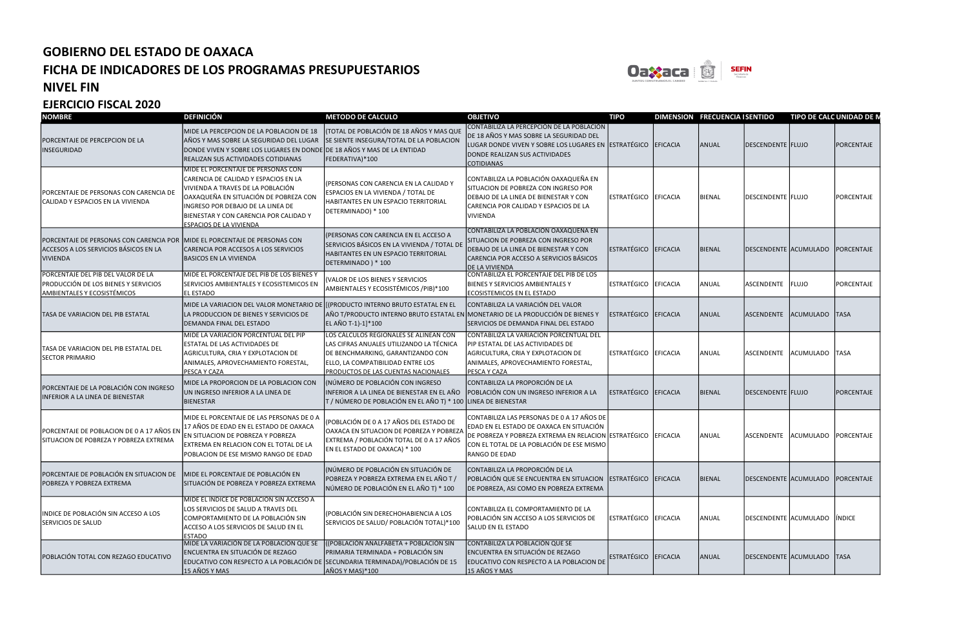

#### NIVEL FIN

| <b>NOMBRE</b>                                                                                             | <b>DEFINICIÓN</b>                                                                                                                                                                                                                                                         | <b>METODO DE CALCULO</b>                                                                                                                                                                            | <b>OBJETIVO</b>                                                                                                                                                                                                     | <b>TIPO</b>          |                 | DIMENSION FRECUENCIA I SENTIDO |                                  | TIPO DE CALC UNIDAD DE N |            |
|-----------------------------------------------------------------------------------------------------------|---------------------------------------------------------------------------------------------------------------------------------------------------------------------------------------------------------------------------------------------------------------------------|-----------------------------------------------------------------------------------------------------------------------------------------------------------------------------------------------------|---------------------------------------------------------------------------------------------------------------------------------------------------------------------------------------------------------------------|----------------------|-----------------|--------------------------------|----------------------------------|--------------------------|------------|
| PORCENTAJE DE PERCEPCION DE LA<br>INSEGURIDAD                                                             | MIDE LA PERCEPCION DE LA POBLACION DE 18<br>AÑOS Y MAS SOBRE LA SEGURIDAD DEL LUGAR<br>DONDE VIVEN Y SOBRE LOS LUGARES EN DONDE DE 18 AÑOS Y MAS DE LA ENTIDAD<br><b>REALIZAN SUS ACTIVIDADES COTIDIANAS</b>                                                              | (TOTAL DE POBLACIÓN DE 18 AÑOS Y MAS QUE<br>SE SIENTE INSEGURA/TOTAL DE LA POBLACION<br>FEDERATIVA)*100                                                                                             | CONTABILIZA LA PERCEPCIÓN DE LA POBLACIÓN<br>DE 18 AÑOS Y MAS SOBRE LA SEGURIDAD DEL<br>LUGAR DONDE VIVEN Y SOBRE LOS LUGARES EN ESTRATÉGICO<br>DONDE REALIZAN SUS ACTIVIDADES<br><b>COTIDIANAS</b>                 |                      | EFICACIA        | ANUAL                          | <b>DESCENDENTE FLUJO</b>         |                          | PORCENTAJE |
| PORCENTAJE DE PERSONAS CON CARENCIA DE<br>CALIDAD Y ESPACIOS EN LA VIVIENDA                               | MIDE EL PORCENTAJE DE PERSONAS CON<br>CARENCIA DE CALIDAD Y ESPACIOS EN LA<br>VIVIENDA A TRAVES DE LA POBLACIÓN<br>OAXAQUEÑA EN SITUACIÓN DE POBREZA CON<br>INGRESO POR DEBAJO DE LA LINEA DE<br>BIENESTAR Y CON CARENCIA POR CALIDAD Y<br><b>ESPACIOS DE LA VIVIENDA</b> | (PERSONAS CON CARENCIA EN LA CALIDAD Y<br>ESPACIOS EN LA VIVIENDA / TOTAL DE<br>HABITANTES EN UN ESPACIO TERRITORIAL<br>DETERMINADO) * 100                                                          | CONTABILIZA LA POBLACIÓN OAXAQUEÑA EN<br>SITUACION DE POBREZA CON INGRESO POR<br>DEBAJO DE LA LINEA DE BIENESTAR Y CON<br>CARENCIA POR CALIDAD Y ESPACIOS DE LA<br><b>VIVIENDA</b>                                  | ESTRATÉGICO          | <b>EFICACIA</b> | <b>BIENAL</b>                  | DESCENDENTE FLUJO                |                          | PORCENTAJE |
| PORCENTAJE DE PERSONAS CON CARENCIA POR<br>ACCESOS A LOS SERVICIOS BÁSICOS EN LA<br>VIVIENDA              | MIDE EL PORCENTAJE DE PERSONAS CON<br>CARENCIA POR ACCESOS A LOS SERVICIOS<br><b>BASICOS EN LA VIVIENDA</b>                                                                                                                                                               | (PERSONAS CON CARENCIA EN EL ACCESO A<br>SERVICIOS BÁSICOS EN LA VIVIENDA / TOTAL DE<br>HABITANTES EN UN ESPACIO TERRITORIAL<br>DETERMINADO) * 100                                                  | CONTABILIZA LA POBLACIÓN OAXAQUEÑA EN<br>SITUACION DE POBREZA CON INGRESO POR<br>DEBAJO DE LA LINEA DE BIENESTAR Y CON<br>CARENCIA POR ACCESO A SERVICIOS BÁSICOS<br>DE LA VIVIENDA                                 | ESTRATÉGICO EFICACIA |                 | <b>BIENAL</b>                  | DESCENDENTE ACUMULADO PORCENTAJE |                          |            |
| PORCENTAJE DEL PIB DEL VALOR DE LA<br>PRODUCCIÓN DE LOS BIENES Y SERVICIOS<br>AMBIENTALES Y ECOSISTÉMICOS | MIDE EL PORCENTAJE DEL PIB DE LOS BIENES Y<br>SERVICIOS AMBIENTALES Y ECOSISTEMICOS EN<br>EL ESTADO                                                                                                                                                                       | (VALOR DE LOS BIENES Y SERVICIOS<br>AMBIENTALES Y ECOSISTÉMICOS / PIB)*100                                                                                                                          | CONTABILIZA EL PORCENTAJE DEL PIB DE LOS<br>BIENES Y SERVICIOS AMBIENTALES Y<br>ECOSISTEMICOS EN EL ESTADO                                                                                                          | <b>ESTRATÉGICO</b>   | <b>EFICACIA</b> | ANUAL                          | ASCENDENTE                       | FLUJO                    | PORCENTAJE |
| <b>TASA DE VARIACION DEL PIB ESTATAL</b>                                                                  | MIDE LA VARIACION DEL VALOR MONETARIO DE ([(PRODUCTO INTERNO BRUTO ESTATAL EN EL<br>LA PRODUCCION DE BIENES Y SERVICIOS DE<br><b>DEMANDA FINAL DEL ESTADO</b>                                                                                                             | AÑO T/PRODUCTO INTERNO BRUTO ESTATAL EN MONETARIO DE LA PRODUCCIÓN DE BIENES Y<br>EL AÑO T-1)-1]*100                                                                                                | CONTABILIZA LA VARIACIÓN DEL VALOR<br>SERVICIOS DE DEMANDA FINAL DEL ESTADO                                                                                                                                         | ESTRATÉGICO          | EFICACIA        | ANUAL                          | <b>ASCENDENTE</b>                | ACUMULADO TASA           |            |
| TASA DE VARIACION DEL PIB ESTATAL DEL<br><b>SECTOR PRIMARIO</b>                                           | MIDE LA VARIACION PORCENTUAL DEL PIP<br><b>ESTATAL DE LAS ACTIVIDADES DE</b><br>AGRICULTURA, CRIA Y EXPLOTACION DE<br>ANIMALES, APROVECHAMIENTO FORESTAL,<br>PESCA Y CAZA                                                                                                 | LOS CÁLCULOS REGIONALES SE ALINEAN CON<br>LAS CIFRAS ANUALES UTILIZANDO LA TÉCNICA<br>DE BENCHMARKING, GARANTIZANDO CON<br>ELLO, LA COMPATIBILIDAD ENTRE LOS<br>PRODUCTOS DE LAS CUENTAS NACIONALES | CONTABILIZA LA VARIACIÓN PORCENTUAL DEL<br>PIP ESTATAL DE LAS ACTIVIDADES DE<br>AGRICULTURA, CRIA Y EXPLOTACION DE<br>ANIMALES, APROVECHAMIENTO FORESTAL,<br>PESCA Y CAZA                                           | ESTRATÉGICO          | <b>EFICACIA</b> | ANUAL                          | ASCENDENTE                       | ACUMULADO TASA           |            |
| PORCENTAJE DE LA POBLACIÓN CON INGRESO<br>INFERIOR A LA LINEA DE BIENESTAR                                | MIDE LA PROPORCION DE LA POBLACION CON<br>UN INGRESO INFERIOR A LA LINEA DE<br>BIENESTAR                                                                                                                                                                                  | (NÚMERO DE POBLACIÓN CON INGRESO<br>INFERIOR A LA LINEA DE BIENESTAR EN EL AÑO POBLACIÓN CON UN INGRESO INFERIOR A LA<br>T / NÚMERO DE POBLACIÓN EN EL AÑO T) * 100 LINEA DE BIENESTAR              | CONTABILIZA LA PROPORCIÓN DE LA                                                                                                                                                                                     | ESTRATÉGICO          | EFICACIA        | BIENAL                         | DESCENDENTE  FLUJO               |                          | PORCENTAJE |
| PORCENTAJE DE POBLACION DE 0 A 17 AÑOS EN<br>SITUACION DE POBREZA Y POBREZA EXTREMA                       | MIDE EL PORCENTAJE DE LAS PERSONAS DE 0 A<br>17 AÑOS DE EDAD EN EL ESTADO DE OAXACA<br>EN SITUACION DE POBREZA Y POBREZA<br>EXTREMA EN RELACION CON EL TOTAL DE LA<br>POBLACION DE ESE MISMO RANGO DE EDAD                                                                | (POBLACIÓN DE 0 A 17 AÑOS DEL ESTADO DE<br>OAXACA EN SITUACION DE POBREZA Y POBREZA<br>EXTREMA / POBLACIÓN TOTAL DE 0 A 17 AÑOS<br>EN EL ESTADO DE OAXACA) * 100                                    | CONTABILIZA LAS PERSONAS DE 0 A 17 AÑOS DE<br>EDAD EN EL ESTADO DE OAXACA EN SITUACIÓN<br>DE POBREZA Y POBREZA EXTREMA EN RELACION ESTRATÉGICO<br>CON EL TOTAL DE LA POBLACIÓN DE ESE MISMO<br><b>RANGO DE EDAD</b> |                      | <b>EFICACIA</b> | ANUAL                          | ASCENDENTE                       | ACUMULADO PORCENTAJE     |            |
| PORCENTAJE DE POBLACIÓN EN SITUACION DE<br>POBREZA Y POBREZA EXTREMA                                      | MIDE EL PORCENTAJE DE POBLACIÓN EN<br>SITUACIÓN DE POBREZA Y POBREZA EXTREMA                                                                                                                                                                                              | (NÚMERO DE POBLACIÓN EN SITUACIÓN DE<br>POBREZA Y POBREZA EXTREMA EN EL AÑO T /<br>NÚMERO DE POBLACIÓN EN EL AÑO T) * 100                                                                           | CONTABILIZA LA PROPORCIÓN DE LA<br>POBLACIÓN QUE SE ENCUENTRA EN SITUACION ESTRATÉGICO<br>DE POBREZA, ASI COMO EN POBREZA EXTREMA                                                                                   |                      | EFICACIA        | <b>BIENAL</b>                  | DESCENDENTE ACUMULADO PORCENTAJE |                          |            |
| INDICE DE POBLACIÓN SIN ACCESO A LOS<br>SERVICIOS DE SALUD                                                | MIDE EL ÍNDICE DE POBLACIÓN SIN ACCESO A<br>LOS SERVICIOS DE SALUD A TRAVES DEL<br>COMPORTAMIENTO DE LA POBLACIÓN SIN<br>ACCESO A LOS SERVICIOS DE SALUD EN EL<br><b>ESTADO</b>                                                                                           | (POBLACIÓN SIN DERECHOHABIENCIA A LOS<br>SERVICIOS DE SALUD/ POBLACIÓN TOTAL)*100                                                                                                                   | CONTABILIZA EL COMPORTAMIENTO DE LA<br>POBLACIÓN SIN ACCESO A LOS SERVICIOS DE<br>SALUD EN EL ESTADO                                                                                                                | ESTRATÉGICO EFICACIA |                 | ANUAL                          | DESCENDENTE ACUMULADO INDICE     |                          |            |
| POBLACIÓN TOTAL CON REZAGO EDUCATIVO                                                                      | MIDE LA VARIACIÓN DE LA POBLACIÓN QUE SE<br>ENCUENTRA EN SITUACIÓN DE REZAGO<br>EDUCATIVO CON RESPECTO A LA POBLACIÓN DE SECUNDARIA TERMINADA)/POBLACIÓN DE 15<br>15 AÑOS Y MAS                                                                                           | ((POBLACIÓN ANALFABETA + POBLACIÓN SIN<br>PRIMARIA TERMINADA + POBLACIÓN SIN<br>AÑOS Y MAS)*100                                                                                                     | CONTABILIZA LA POBLACIÓN QUE SE<br>ENCUENTRA EN SITUACIÓN DE REZAGO<br>EDUCATIVO CON RESPECTO A LA POBLACION DE<br>15 AÑOS Y MAS                                                                                    | ESTRATÉGICO EFICACIA |                 | ANUAL                          | DESCENDENTE ACUMULADO TASA       |                          |            |

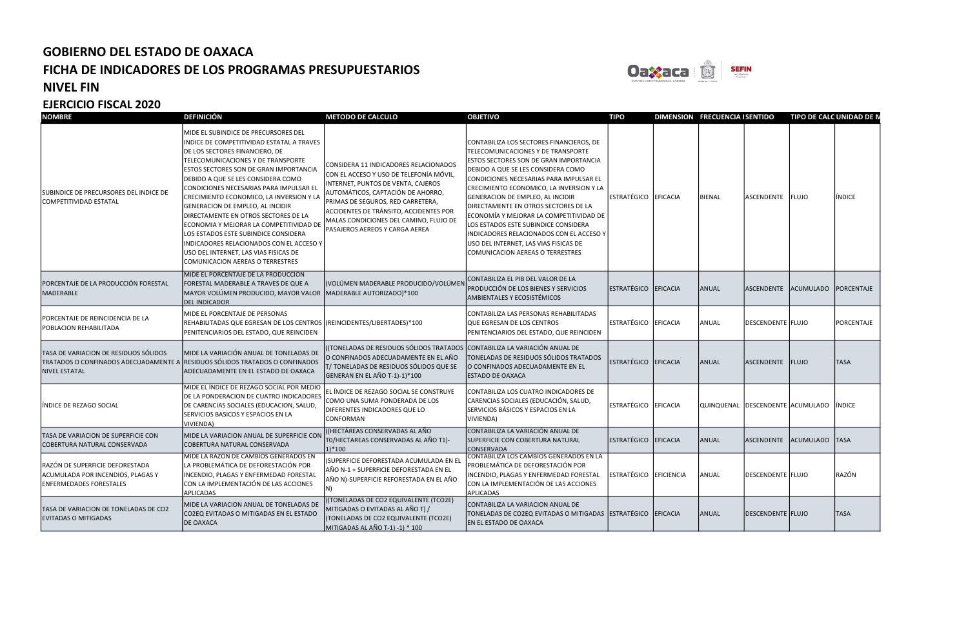

#### NIVEL FIN

| <b>NOMBRE</b>                                                                                          | <b>DEFINICIÓN</b>                                                                                                                                                                                                                                                                                                                                                                                                                                                                                                                                                                                                        | <b>METODO DE CALCULO</b>                                                                                                                                                                                                                                                                                               | <b>OBJETIVO</b>                                                                                                                                                                                                                                                                                                                                                                                                                                                                                                                                             | <b>TIPO</b>            |          | <b>DIMENSION FRECUENCIA I SENTIDO</b> |                                         | TIPO DE CALC UNIDAD DE N |             |
|--------------------------------------------------------------------------------------------------------|--------------------------------------------------------------------------------------------------------------------------------------------------------------------------------------------------------------------------------------------------------------------------------------------------------------------------------------------------------------------------------------------------------------------------------------------------------------------------------------------------------------------------------------------------------------------------------------------------------------------------|------------------------------------------------------------------------------------------------------------------------------------------------------------------------------------------------------------------------------------------------------------------------------------------------------------------------|-------------------------------------------------------------------------------------------------------------------------------------------------------------------------------------------------------------------------------------------------------------------------------------------------------------------------------------------------------------------------------------------------------------------------------------------------------------------------------------------------------------------------------------------------------------|------------------------|----------|---------------------------------------|-----------------------------------------|--------------------------|-------------|
| SUBINDICE DE PRECURSORES DEL INDICE DE<br>COMPETITIVIDAD ESTATAL                                       | MIDE EL SUBINDICE DE PRECURSORES DEL<br>INDICE DE COMPETITIVIDAD ESTATAL A TRAVES<br>DE LOS SECTORES FINANCIERO, DE<br>TELECOMUNICACIONES Y DE TRANSPORTE<br>ESTOS SECTORES SON DE GRAN IMPORTANCIA<br>DEBIDO A QUE SE LES CONSIDERA COMO<br>CONDICIONES NECESARIAS PARA IMPULSAR EL<br>CRECIMIENTO ECONOMICO, LA INVERSION Y LA<br>GENERACION DE EMPLEO, AL INCIDIR<br>DIRECTAMENTE EN OTROS SECTORES DE LA<br>ECONOMIA Y MEJORAR LA COMPETITIVIDAD DE<br>LOS ESTADOS ESTE SUBINDICE CONSIDERA<br>INDICADORES RELACIONADOS CON EL ACCESO Y<br>USO DEL INTERNET, LAS VIAS FISICAS DE<br>COMUNICACION AEREAS O TERRESTRES | CONSIDERA 11 INDICADORES RELACIONADOS<br>CON EL ACCESO Y USO DE TELEFONÍA MÓVIL,<br>INTERNET, PUNTOS DE VENTA, CAJEROS<br>AUTOMÁTICOS, CAPTACIÓN DE AHORRO,<br>PRIMAS DE SEGUROS, RED CARRETERA,<br>ACCIDENTES DE TRÁNSITO, ACCIDENTES POR<br>MALAS CONDICIONES DEL CAMINO, FLUJO DE<br>PASAJEROS AEREOS Y CARGA AEREA | CONTABILIZA LOS SECTORES FINANCIEROS, DE<br><b>TELECOMUNICACIONES Y DE TRANSPORTE</b><br><b>ESTOS SECTORES SON DE GRAN IMPORTANCIA</b><br>DEBIDO A QUE SE LES CONSIDERA COMO<br>CONDICIONES NECESARIAS PARA IMPULSAR EL<br>CRECIMIENTO ECONOMICO, LA INVERSION Y LA<br>GENERACION DE EMPLEO, AL INCIDIR<br>DIRECTAMENTE EN OTROS SECTORES DE LA<br>ECONOMÍA Y MEJORAR LA COMPETITIVIDAD DE<br>LOS ESTADOS ESTE SUBINDICE CONSIDERA<br>INDICADORES RELACIONADOS CON EL ACCESO Y<br>USO DEL INTERNET, LAS VIAS FISICAS DE<br>COMUNICACION AEREAS O TERRESTRES | ESTRATÉGICO            | EFICACIA | <b>BIENAL</b>                         | ASCENDENTE FLUJO                        |                          | INDICE      |
| PORCENTAJE DE LA PRODUCCIÓN FORESTAL<br>MADERABLE                                                      | MIDE EL PORCENTAJE DE LA PRODUCCIÓN<br>FORESTAL MADERABLE A TRAVES DE QUE A<br>MAYOR VOLÚMEN PRODUCIDO, MAYOR VALOR<br><b>DEL INDICADOR</b>                                                                                                                                                                                                                                                                                                                                                                                                                                                                              | (VOLÚMEN MADERABLE PRODUCIDO/VOLÚMEN)<br>MADERABLE AUTORIZADO)*100                                                                                                                                                                                                                                                     | CONTABILIZA EL PIB DEL VALOR DE LA<br>PRODUCCIÓN DE LOS BIENES Y SERVICIOS<br><b>AMBIENTALES Y ECOSISTÉMICOS</b>                                                                                                                                                                                                                                                                                                                                                                                                                                            | <b>ESTRATÉGICO</b>     | EFICACIA | ANUAL                                 | <b>ASCENDENTE</b>                       | ACUMULADO PORCENTAJE     |             |
| PORCENTAJE DE REINCIDENCIA DE LA<br>POBLACION REHABILITADA                                             | MIDE EL PORCENTAJE DE PERSONAS<br>REHABILITADAS QUE EGRESAN DE LOS CENTROS (REINCIDENTES/LIBERTADES)*100<br>PENITENCIARIOS DEL ESTADO, QUE REINCIDEN                                                                                                                                                                                                                                                                                                                                                                                                                                                                     |                                                                                                                                                                                                                                                                                                                        | CONTABILIZA LAS PERSONAS REHABILITADAS<br>QUE EGRESAN DE LOS CENTROS<br>PENITENCIARIOS DEL ESTADO, QUE REINCIDEN                                                                                                                                                                                                                                                                                                                                                                                                                                            | ESTRATÉGICO EFICACIA   |          | ANUAL                                 | DESCENDENTE FLUJO                       |                          | PORCENTAJE  |
| TASA DE VARIACION DE RESIDUOS SÓLIDOS<br>TRATADOS O CONFINADOS ADECUADAMENTE A<br><b>NIVEL ESTATAL</b> | MIDE LA VARIACIÓN ANUAL DE TONELADAS DE<br>RESIDUOS SÓLIDOS TRATADOS O CONFINADOS<br>ADECUADAMENTE EN EL ESTADO DE OAXACA                                                                                                                                                                                                                                                                                                                                                                                                                                                                                                | (TONELADAS DE RESIDUOS SÓLIDOS TRATADOS CONTABILIZA LA VARIACIÓN ANUAL DE<br>O CONFINADOS ADECUADAMENTE EN EL AÑO<br>T/ TONELADAS DE RESIDUOS SÓLIDOS QUE SE<br>GENERAN EN EL AÑO T-1)-1)*100                                                                                                                          | TONELADAS DE RESIDUOS SÓLIDOS TRATADOS<br>O CONFINADOS ADECUADAMENTE EN EL<br><b>ESTADO DE OAXACA</b>                                                                                                                                                                                                                                                                                                                                                                                                                                                       | ESTRATÉGICO EFICACIA   |          | ANUAL                                 | ASCENDENTE   FLUJO                      |                          | <b>TASA</b> |
| <b>INDICE DE REZAGO SOCIAL</b>                                                                         | MIDE EL ÍNDICE DE REZAGO SOCIAL POR MEDIO<br>DE LA PONDERACION DE CUATRO INDICADORES<br>DE CARENCIAS SOCIALES (EDUCACION, SALUD,<br>SERVICIOS BASICOS Y ESPACIOS EN LA<br><b>VIVIENDA)</b>                                                                                                                                                                                                                                                                                                                                                                                                                               | EL ÍNDICE DE REZAGO SOCIAL SE CONSTRUYE<br>COMO UNA SUMA PONDERADA DE LOS<br>DIFERENTES INDICADORES QUE LO<br>CONFORMAN                                                                                                                                                                                                | CONTABILIZA LOS CUATRO INDICADORES DE<br>CARENCIAS SOCIALES (EDUCACIÓN, SALUD,<br>SERVICIOS BÁSICOS Y ESPACIOS EN LA<br>VIVIENDA)                                                                                                                                                                                                                                                                                                                                                                                                                           | ESTRATÉGICO EFICACIA   |          |                                       | QUINQUENAL DESCENDENTE ACUMULADO INDICE |                          |             |
| TASA DE VARIACION DE SUPERFICIE CON<br>COBERTURA NATURAL CONSERVADA                                    | MIDE LA VARIACION ANUAL DE SUPERFICIE COI<br>COBERTURA NATURAL CONSERVADA                                                                                                                                                                                                                                                                                                                                                                                                                                                                                                                                                | ((HECTÁREAS CONSERVADAS AL AÑO<br>TO/HECTAREAS CONSERVADAS AL AÑO T1)-<br>$1)*100$                                                                                                                                                                                                                                     | CONTABILIZA LA VARIACIÓN ANUAL DE<br>SUPERFICIE CON COBERTURA NATURAL<br>CONSERVADA                                                                                                                                                                                                                                                                                                                                                                                                                                                                         | <b>ESTRATÉGICO</b>     | EFICACIA | ANUAL                                 | <b>ASCENDENTE</b>                       | ACUMULADO TASA           |             |
| RAZÓN DE SUPERFICIE DEFORESTADA<br>ACUMULADA POR INCENDIOS, PLAGAS Y<br><b>ENFERMEDADES FORESTALES</b> | MIDE LA RAZÓN DE CAMBIOS GENERADOS EN<br>LA PROBLEMÁTICA DE DEFORESTACIÓN POR<br>INCENDIO, PLAGAS Y ENFERMEDAD FORESTAL<br>CON LA IMPLEMENTACIÓN DE LAS ACCIONES<br><b>APLICADAS</b>                                                                                                                                                                                                                                                                                                                                                                                                                                     | (SUPERFICIE DEFORESTADA ACUMULADA EN EL<br>AÑO N-1 + SUPERFICIE DEFORESTADA EN EL<br>AÑO N)-SUPERFICIE REFORESTADA EN EL AÑO                                                                                                                                                                                           | CONTABILIZA LOS CAMBIOS GENERADOS EN LA<br>PROBLEMÁTICA DE DEFORESTACIÓN POR<br>INCENDIO, PLAGAS Y ENFERMEDAD FORESTAL<br>CON LA IMPLEMENTACIÓN DE LAS ACCIONES<br><b>APLICADAS</b>                                                                                                                                                                                                                                                                                                                                                                         | ESTRATÉGICO EFICIENCIA |          | ANUAL                                 | DESCENDENTE FLUJO                       |                          | RAZÓN       |
| TASA DE VARIACION DE TONELADAS DE CO2<br><b>EVITADAS O MITIGADAS</b>                                   | MIDE LA VARIACION ANUAL DE TONELADAS DE<br>CO2EQ EVITADAS O MITIGADAS EN EL ESTADO<br><b>DE OAXACA</b>                                                                                                                                                                                                                                                                                                                                                                                                                                                                                                                   | (TONELADAS DE CO2 EQUIVALENTE (TCO2E)<br>MITIGADAS O EVITADAS AL AÑO T) /<br>(TONELADAS DE CO2 EQUIVALENTE (TCO2E)<br>MITIGADAS AL AÑO T-1) -1) * 100                                                                                                                                                                  | CONTABILIZA LA VARIACION ANUAL DE<br>TONELADAS DE CO2EQ EVITADAS O MITIGADAS ESTRATÉGICO EFICACIA<br><b>EN EL ESTADO DE OAXACA</b>                                                                                                                                                                                                                                                                                                                                                                                                                          |                        |          | ANUAL                                 | <b>DESCENDENTE FLUJO</b>                |                          | <b>TASA</b> |